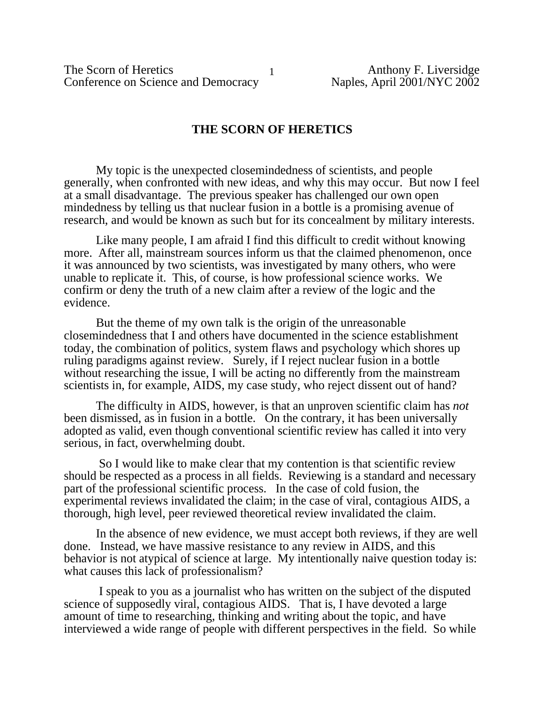The Scorn of Heretics<br>
Conference on Science and Democracy<br>
1 Anthony F. Liversidge<br>
Naples, April 2001/NYC 2002 Conference on Science and Democracy

### **THE SCORN OF HERETICS**

My topic is the unexpected closemindedness of scientists, and people generally, when confronted with new ideas, and why this may occur. But now I feel at a small disadvantage. The previous speaker has challenged our own open mindedness by telling us that nuclear fusion in a bottle is a promising avenue of research, and would be known as such but for its concealment by military interests.

Like many people, I am afraid I find this difficult to credit without knowing more. After all, mainstream sources inform us that the claimed phenomenon, once it was announced by two scientists, was investigated by many others, who were unable to replicate it. This, of course, is how professional science works. We confirm or deny the truth of a new claim after a review of the logic and the evidence.

But the theme of my own talk is the origin of the unreasonable closemindedness that I and others have documented in the science establishment today, the combination of politics, system flaws and psychology which shores up ruling paradigms against review. Surely, if I reject nuclear fusion in a bottle without researching the issue, I will be acting no differently from the mainstream scientists in, for example, AIDS, my case study, who reject dissent out of hand?

The difficulty in AIDS, however, is that an unproven scientific claim has *not* been dismissed, as in fusion in a bottle. On the contrary, it has been universally adopted as valid, even though conventional scientific review has called it into very serious, in fact, overwhelming doubt.

 So I would like to make clear that my contention is that scientific review should be respected as a process in all fields. Reviewing is a standard and necessary part of the professional scientific process. In the case of cold fusion, the experimental reviews invalidated the claim; in the case of viral, contagious AIDS, a thorough, high level, peer reviewed theoretical review invalidated the claim.

In the absence of new evidence, we must accept both reviews, if they are well done. Instead, we have massive resistance to any review in AIDS, and this behavior is not atypical of science at large. My intentionally naive question today is: what causes this lack of professionalism?

 I speak to you as a journalist who has written on the subject of the disputed science of supposedly viral, contagious AIDS. That is, I have devoted a large amount of time to researching, thinking and writing about the topic, and have interviewed a wide range of people with different perspectives in the field. So while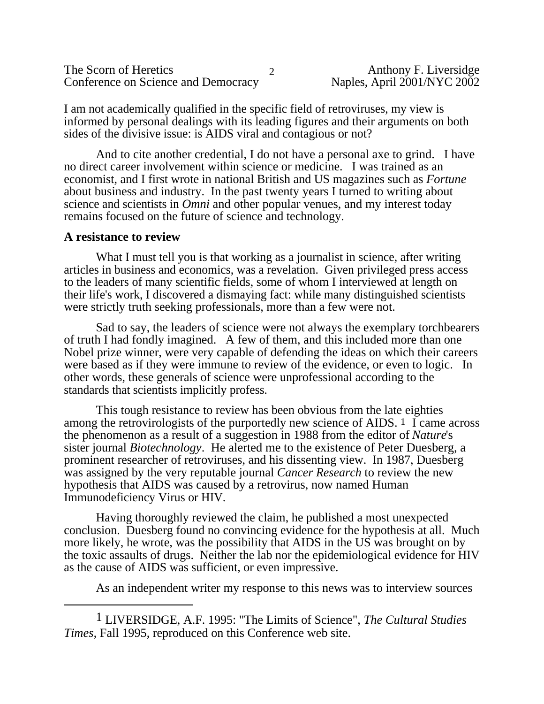| The Scorn of Heretics               |  |
|-------------------------------------|--|
| Conference on Science and Democracy |  |

I am not academically qualified in the specific field of retroviruses, my view is informed by personal dealings with its leading figures and their arguments on both sides of the divisive issue: is AIDS viral and contagious or not?

And to cite another credential, I do not have a personal axe to grind. I have no direct career involvement within science or medicine. I was trained as an economist, and I first wrote in national British and US magazines such as *Fortune* about business and industry. In the past twenty years I turned to writing about science and scientists in *Omni* and other popular venues, and my interest today remains focused on the future of science and technology.

#### **A resistance to review**

What I must tell you is that working as a journalist in science, after writing articles in business and economics, was a revelation. Given privileged press access to the leaders of many scientific fields, some of whom I interviewed at length on their life's work, I discovered a dismaying fact: while many distinguished scientists were strictly truth seeking professionals, more than a few were not.

Sad to say, the leaders of science were not always the exemplary torchbearers of truth I had fondly imagined. A few of them, and this included more than one Nobel prize winner, were very capable of defending the ideas on which their careers were based as if they were immune to review of the evidence, or even to logic. In other words, these generals of science were unprofessional according to the standards that scientists implicitly profess.

This tough resistance to review has been obvious from the late eighties among the retrovirologists of the purportedly new science of AIDS. 1 I came across the phenomenon as a result of a suggestion in 1988 from the editor of *Nature*'s sister journal *Biotechnology*. He alerted me to the existence of Peter Duesberg, a prominent researcher of retroviruses, and his dissenting view. In 1987, Duesberg was assigned by the very reputable journal *Cancer Research* to review the new hypothesis that AIDS was caused by a retrovirus, now named Human Immunodeficiency Virus or HIV.

Having thoroughly reviewed the claim, he published a most unexpected conclusion. Duesberg found no convincing evidence for the hypothesis at all. Much more likely, he wrote, was the possibility that AIDS in the US was brought on by the toxic assaults of drugs. Neither the lab nor the epidemiological evidence for HIV as the cause of AIDS was sufficient, or even impressive.

As an independent writer my response to this news was to interview sources

<sup>1</sup> LIVERSIDGE, A.F. 1995: "The Limits of Science", *The Cultural Studies Times,* Fall 1995, reproduced on this Conference web site.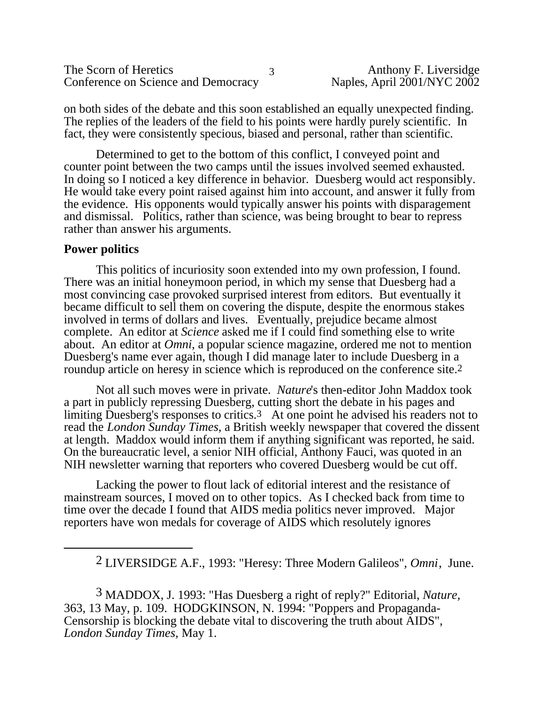| The Scorn of Heretics               | Anthony F. Liversidge       |
|-------------------------------------|-----------------------------|
| Conference on Science and Democracy | Naples, April 2001/NYC 2002 |

on both sides of the debate and this soon established an equally unexpected finding. The replies of the leaders of the field to his points were hardly purely scientific. In fact, they were consistently specious, biased and personal, rather than scientific.

Determined to get to the bottom of this conflict, I conveyed point and counter point between the two camps until the issues involved seemed exhausted. In doing so I noticed a key difference in behavior. Duesberg would act responsibly. He would take every point raised against him into account, and answer it fully from the evidence. His opponents would typically answer his points with disparagement and dismissal. Politics, rather than science, was being brought to bear to repress rather than answer his arguments.

#### **Power politics**

This politics of incuriosity soon extended into my own profession, I found. There was an initial honeymoon period, in which my sense that Duesberg had a most convincing case provoked surprised interest from editors. But eventually it became difficult to sell them on covering the dispute, despite the enormous stakes involved in terms of dollars and lives. Eventually, prejudice became almost complete. An editor at *Science* asked me if I could find something else to write about. An editor at *Omni*, a popular science magazine, ordered me not to mention Duesberg's name ever again, though I did manage later to include Duesberg in a roundup article on heresy in science which is reproduced on the conference site.<sup>2</sup>

Not all such moves were in private. *Nature*'s then-editor John Maddox took a part in publicly repressing Duesberg, cutting short the debate in his pages and limiting Duesberg's responses to critics.3 At one point he advised his readers not to read the *London Sunday Times*, a British weekly newspaper that covered the dissent at length. Maddox would inform them if anything significant was reported, he said. On the bureaucratic level, a senior NIH official, Anthony Fauci, was quoted in an NIH newsletter warning that reporters who covered Duesberg would be cut off.

Lacking the power to flout lack of editorial interest and the resistance of mainstream sources, I moved on to other topics. As I checked back from time to time over the decade I found that AIDS media politics never improved. Major reporters have won medals for coverage of AIDS which resolutely ignores

2 LIVERSIDGE A.F., 1993: "Heresy: Three Modern Galileos"*, Omni*, June.

3 MADDOX, J. 1993: "Has Duesberg a right of reply?" Editorial, *Nature,* 363, 13 May, p. 109. HODGKINSON, N. 1994: "Poppers and Propaganda-Censorship is blocking the debate vital to discovering the truth about AIDS", *London Sunday Times,* May 1.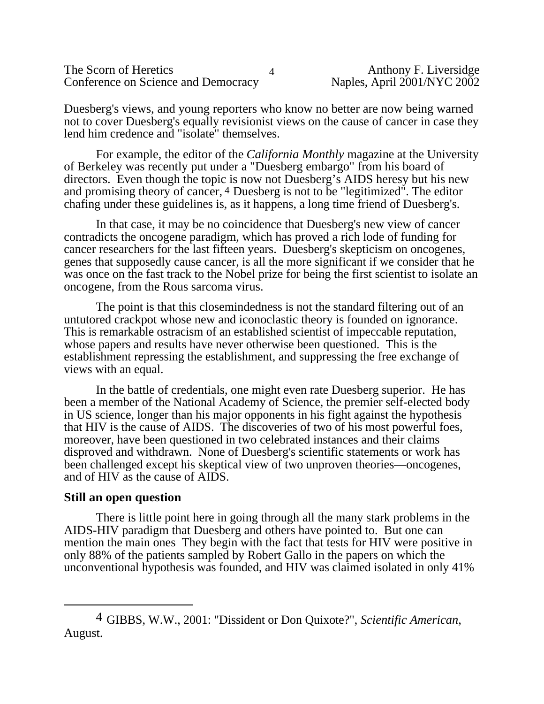| The Scorn of Heretics               |  |
|-------------------------------------|--|
| Conference on Science and Democracy |  |

Duesberg's views, and young reporters who know no better are now being warned not to cover Duesberg's equally revisionist views on the cause of cancer in case they lend him credence and "isolate" themselves.

For example, the editor of the *California Monthly* magazine at the University of Berkeley was recently put under a "Duesberg embargo" from his board of directors. Even though the topic is now not Duesberg's AIDS heresy but his new and promising theory of cancer, 4 Duesberg is not to be "legitimized". The editor chafing under these guidelines is, as it happens, a long time friend of Duesberg's.

In that case, it may be no coincidence that Duesberg's new view of cancer contradicts the oncogene paradigm, which has proved a rich lode of funding for cancer researchers for the last fifteen years. Duesberg's skepticism on oncogenes, genes that supposedly cause cancer, is all the more significant if we consider that he was once on the fast track to the Nobel prize for being the first scientist to isolate an oncogene, from the Rous sarcoma virus.

The point is that this closemindedness is not the standard filtering out of an untutored crackpot whose new and iconoclastic theory is founded on ignorance. This is remarkable ostracism of an established scientist of impeccable reputation, whose papers and results have never otherwise been questioned. This is the establishment repressing the establishment, and suppressing the free exchange of views with an equal.

In the battle of credentials, one might even rate Duesberg superior. He has been a member of the National Academy of Science, the premier self-elected body in US science, longer than his major opponents in his fight against the hypothesis that HIV is the cause of AIDS. The discoveries of two of his most powerful foes, moreover, have been questioned in two celebrated instances and their claims disproved and withdrawn. None of Duesberg's scientific statements or work has been challenged except his skeptical view of two unproven theories—oncogenes, and of HIV as the cause of AIDS.

### **Still an open question**

There is little point here in going through all the many stark problems in the AIDS-HIV paradigm that Duesberg and others have pointed to. But one can mention the main ones They begin with the fact that tests for HIV were positive in only 88% of the patients sampled by Robert Gallo in the papers on which the unconventional hypothesis was founded, and HIV was claimed isolated in only 41%

<sup>4</sup> GIBBS, W.W., 2001: "Dissident or Don Quixote?", *Scientific American*, August.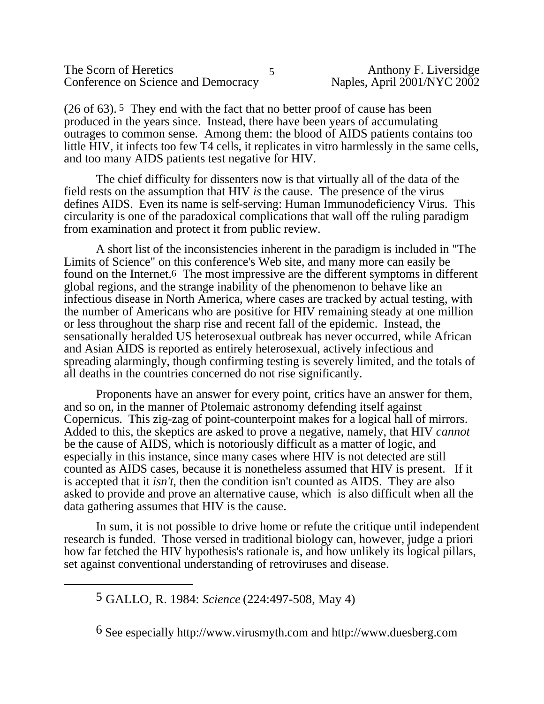| The Scorn of Heretics               |  |
|-------------------------------------|--|
| Conference on Science and Democracy |  |

(26 of 63). 5 They end with the fact that no better proof of cause has been produced in the years since. Instead, there have been years of accumulating outrages to common sense. Among them: the blood of AIDS patients contains too little HIV, it infects too few T4 cells, it replicates in vitro harmlessly in the same cells, and too many AIDS patients test negative for HIV.

The chief difficulty for dissenters now is that virtually all of the data of the field rests on the assumption that HIV *is* the cause. The presence of the virus defines AIDS. Even its name is self-serving: Human Immunodeficiency Virus. This circularity is one of the paradoxical complications that wall off the ruling paradigm from examination and protect it from public review.

A short list of the inconsistencies inherent in the paradigm is included in "The Limits of Science" on this conference's Web site, and many more can easily be found on the Internet.6 The most impressive are the different symptoms in different global regions, and the strange inability of the phenomenon to behave like an infectious disease in North America, where cases are tracked by actual testing, with the number of Americans who are positive for HIV remaining steady at one million or less throughout the sharp rise and recent fall of the epidemic. Instead, the sensationally heralded US heterosexual outbreak has never occurred, while African and Asian AIDS is reported as entirely heterosexual, actively infectious and spreading alarmingly, though confirming testing is severely limited, and the totals of all deaths in the countries concerned do not rise significantly.

Proponents have an answer for every point, critics have an answer for them, and so on, in the manner of Ptolemaic astronomy defending itself against Copernicus. This zig-zag of point-counterpoint makes for a logical hall of mirrors. Added to this, the skeptics are asked to prove a negative, namely, that HIV *cannot* be the cause of AIDS, which is notoriously difficult as a matter of logic, and especially in this instance, since many cases where HIV is not detected are still counted as AIDS cases, because it is nonetheless assumed that HIV is present. If it is accepted that it *isn't*, then the condition isn't counted as AIDS. They are also asked to provide and prove an alternative cause, which is also difficult when all the data gathering assumes that HIV is the cause.

In sum, it is not possible to drive home or refute the critique until independent research is funded. Those versed in traditional biology can, however, judge a priori how far fetched the HIV hypothesis's rationale is, and how unlikely its logical pillars, set against conventional understanding of retroviruses and disease.

<sup>5</sup> GALLO, R. 1984: *Science* (224:497-508, May 4)

<sup>6</sup> See especially<http://www.virusmyth.com> and <http://www.duesberg.com>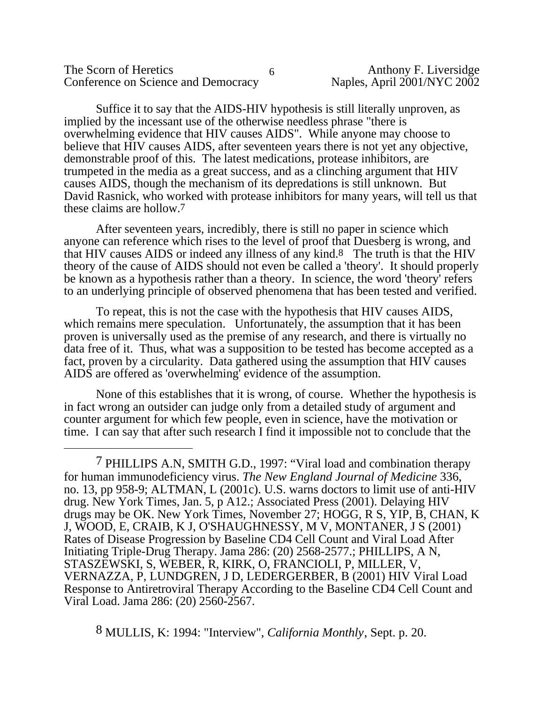| The Scorn of Heretics               | Anthony F. Liversidge       |
|-------------------------------------|-----------------------------|
| Conference on Science and Democracy | Naples, April 2001/NYC 2002 |

Suffice it to say that the AIDS-HIV hypothesis is still literally unproven, as implied by the incessant use of the otherwise needless phrase "there is overwhelming evidence that HIV causes AIDS". While anyone may choose to believe that HIV causes AIDS, after seventeen years there is not yet any objective, demonstrable proof of this. The latest medications, protease inhibitors, are trumpeted in the media as a great success, and as a clinching argument that HIV causes AIDS, though the mechanism of its depredations is still unknown. But David Rasnick, who worked with protease inhibitors for many years, will tell us that these claims are hollow.7

After seventeen years, incredibly, there is still no paper in science which anyone can reference which rises to the level of proof that Duesberg is wrong, and that HIV causes AIDS or indeed any illness of any kind.8 The truth is that the HIV theory of the cause of AIDS should not even be called a 'theory'. It should properly be known as a hypothesis rather than a theory. In science, the word 'theory' refers to an underlying principle of observed phenomena that has been tested and verified.

To repeat, this is not the case with the hypothesis that HIV causes AIDS, which remains mere speculation. Unfortunately, the assumption that it has been proven is universally used as the premise of any research, and there is virtually no data free of it. Thus, what was a supposition to be tested has become accepted as a fact, proven by a circularity. Data gathered using the assumption that HIV causes AIDS are offered as 'overwhelming' evidence of the assumption.

None of this establishes that it is wrong, of course. Whether the hypothesis is in fact wrong an outsider can judge only from a detailed study of argument and counter argument for which few people, even in science, have the motivation or time. I can say that after such research I find it impossible not to conclude that the

7 PHILLIPS A.N, SMITH G.D., 1997: "Viral load and combination therapy for human immunodeficiency virus. *The New England Journal of Medicine* 336, no. 13, pp 958-9; ALTMAN, L (2001c). U.S. warns doctors to limit use of anti-HIV drug. New York Times, Jan. 5, p A12.; Associated Press (2001). Delaying HIV drugs may be OK. New York Times, November 27; HOGG, R S, YIP, B, CHAN, K J, WOOD, E, CRAIB, K J, O'SHAUGHNESSY, M V, MONTANER, J S (2001) Rates of Disease Progression by Baseline CD4 Cell Count and Viral Load After Initiating Triple-Drug Therapy. Jama 286: (20) 2568-2577.; PHILLIPS, A N, STASZEWSKI, S, WEBER, R, KIRK, O, FRANCIOLI, P, MILLER, V, VERNAZZA, P, LUNDGREN, J D, LEDERGERBER, B (2001) HIV Viral Load Response to Antiretroviral Therapy According to the Baseline CD4 Cell Count and Viral Load. Jama 286: (20) 2560-2567.

8 MULLIS, K: 1994: "Interview", *California Monthly*, Sept. p. 20.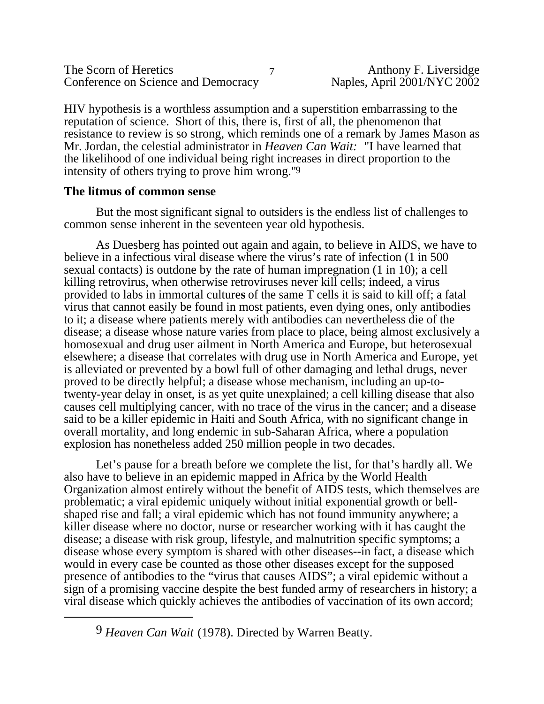| The Scorn of Heretics               |       |
|-------------------------------------|-------|
| Conference on Science and Democracy | Naple |

HIV hypothesis is a worthless assumption and a superstition embarrassing to the reputation of science. Short of this, there is, first of all, the phenomenon that resistance to review is so strong, which reminds one of a remark by James Mason as Mr. Jordan, the celestial administrator in *Heaven Can Wait:* "I have learned that the likelihood of one individual being right increases in direct proportion to the intensity of others trying to prove him wrong."9

### **The litmus of common sense**

But the most significant signal to outsiders is the endless list of challenges to common sense inherent in the seventeen year old hypothesis.

As Duesberg has pointed out again and again, to believe in AIDS, we have to believe in a infectious viral disease where the virus's rate of infection (1 in 500 sexual contacts) is outdone by the rate of human impregnation (1 in 10); a cell killing retrovirus, when otherwise retroviruses never kill cells; indeed, a virus provided to labs in immortal culture**s** of the same T cells it is said to kill off; a fatal virus that cannot easily be found in most patients, even dying ones, only antibodies to it; a disease where patients merely with antibodies can nevertheless die of the disease; a disease whose nature varies from place to place, being almost exclusively a homosexual and drug user ailment in North America and Europe, but heterosexual elsewhere; a disease that correlates with drug use in North America and Europe, yet is alleviated or prevented by a bowl full of other damaging and lethal drugs, never proved to be directly helpful; a disease whose mechanism, including an up-totwenty-year delay in onset, is as yet quite unexplained; a cell killing disease that also causes cell multiplying cancer, with no trace of the virus in the cancer; and a disease said to be a killer epidemic in Haiti and South Africa, with no significant change in overall mortality, and long endemic in sub-Saharan Africa, where a population explosion has nonetheless added 250 million people in two decades.

Let's pause for a breath before we complete the list, for that's hardly all. We also have to believe in an epidemic mapped in Africa by the World Health Organization almost entirely without the benefit of AIDS tests, which themselves are problematic; a viral epidemic uniquely without initial exponential growth or bellshaped rise and fall; a viral epidemic which has not found immunity anywhere; a killer disease where no doctor, nurse or researcher working with it has caught the disease; a disease with risk group, lifestyle, and malnutrition specific symptoms; a disease whose every symptom is shared with other diseases--in fact, a disease which would in every case be counted as those other diseases except for the supposed presence of antibodies to the "virus that causes AIDS"; a viral epidemic without a sign of a promising vaccine despite the best funded army of researchers in history; a viral disease which quickly achieves the antibodies of vaccination of its own accord;

<sup>9</sup> *Heaven Can Wait* (1978). Directed by Warren Beatty.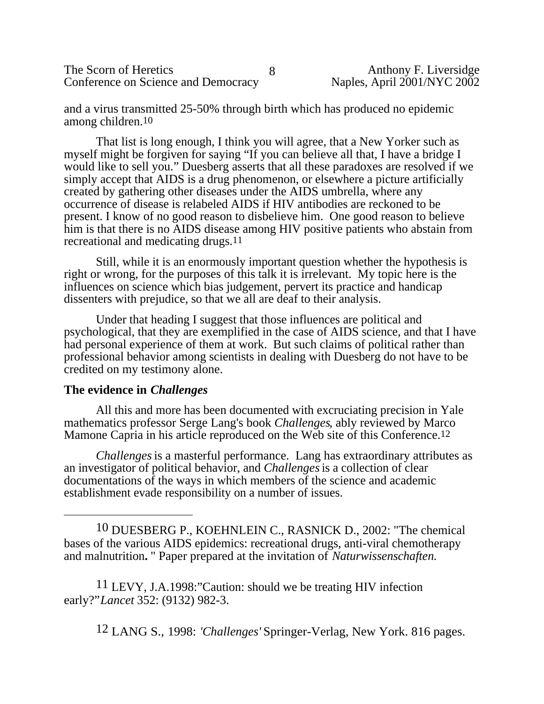The Scorn of Heretics<br>
Conference on Science and Democracy<br>
Raples, April 2001/NYC 2002 Conference on Science and Democracy

and a virus transmitted 25-50% through birth which has produced no epidemic among children.10

That list is long enough, I think you will agree, that a New Yorker such as myself might be forgiven for saying "If you can believe all that, I have a bridge I would like to sell you." Duesberg asserts that all these paradoxes are resolved if we simply accept that AIDS is a drug phenomenon, or elsewhere a picture artificially created by gathering other diseases under the AIDS umbrella, where any occurrence of disease is relabeled AIDS if HIV antibodies are reckoned to be present. I know of no good reason to disbelieve him. One good reason to believe him is that there is no AIDS disease among HIV positive patients who abstain from recreational and medicating drugs.11

Still, while it is an enormously important question whether the hypothesis is right or wrong, for the purposes of this talk it is irrelevant. My topic here is the influences on science which bias judgement, pervert its practice and handicap dissenters with prejudice, so that we all are deaf to their analysis.

Under that heading I suggest that those influences are political and psychological, that they are exemplified in the case of AIDS science, and that I have had personal experience of them at work. But such claims of political rather than professional behavior among scientists in dealing with Duesberg do not have to be credited on my testimony alone.

### **The evidence in** *Challenges*

All this and more has been documented with excruciating precision in Yale mathematics professor Serge Lang's book *Challenges*, ably reviewed by Marco Mamone Capria in his article reproduced on the Web site of this Conference.12

*Challenges* is a masterful performance. Lang has extraordinary attributes as an investigator of political behavior, and *Challenges* is a collection of clear documentations of the ways in which members of the science and academic establishment evade responsibility on a number of issues.

10 DUESBERG P., KOEHNLEIN C., RASNICK D., 2002: "The chemical bases of the various AIDS epidemics: recreational drugs, anti-viral chemotherapy and malnutrition**.** " Paper prepared at the invitation of *Naturwissenschaften.*

11 LEVY, J.A.1998:"Caution: should we be treating HIV infection early?"*Lancet* 352: (9132) 982-3.

12 LANG S., 1998: *'Challenges'* Springer-Verlag, New York. 816 pages.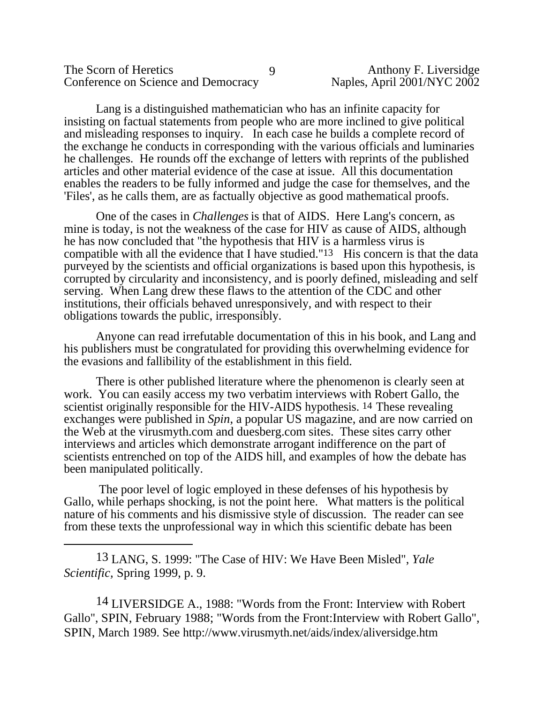| The Scorn of Heretics               |  |
|-------------------------------------|--|
| Conference on Science and Democracy |  |

Lang is a distinguished mathematician who has an infinite capacity for insisting on factual statements from people who are more inclined to give political and misleading responses to inquiry. In each case he builds a complete record of the exchange he conducts in corresponding with the various officials and luminaries he challenges. He rounds off the exchange of letters with reprints of the published articles and other material evidence of the case at issue. All this documentation enables the readers to be fully informed and judge the case for themselves, and the 'Files', as he calls them, are as factually objective as good mathematical proofs.

One of the cases in *Challenges* is that of AIDS. Here Lang's concern, as mine is today, is not the weakness of the case for HIV as cause of AIDS, although he has now concluded that "the hypothesis that HIV is a harmless virus is compatible with all the evidence that I have studied."13 His concern is that the data purveyed by the scientists and official organizations is based upon this hypothesis, is corrupted by circularity and inconsistency, and is poorly defined, misleading and self serving. When Lang drew these flaws to the attention of the CDC and other institutions, their officials behaved unresponsively, and with respect to their obligations towards the public, irresponsibly.

Anyone can read irrefutable documentation of this in his book, and Lang and his publishers must be congratulated for providing this overwhelming evidence for the evasions and fallibility of the establishment in this field.

There is other published literature where the phenomenon is clearly seen at work. You can easily access my two verbatim interviews with Robert Gallo, the scientist originally responsible for the HIV-AIDS hypothesis. 14 These revealing exchanges were published in *Spin*, a popular US magazine, and are now carried on the Web at the virusmyth.com and duesberg.com sites. These sites carry other interviews and articles which demonstrate arrogant indifference on the part of scientists entrenched on top of the AIDS hill, and examples of how the debate has been manipulated politically.

 The poor level of logic employed in these defenses of his hypothesis by Gallo, while perhaps shocking, is not the point here. What matters is the political nature of his comments and his dismissive style of discussion. The reader can see from these texts the unprofessional way in which this scientific debate has been

13 LANG, S. 1999: "The Case of HIV: We Have Been Misled", *Yale Scientific,* Spring 1999, p. 9.

14 LIVERSIDGE A., 1988: "Words from the Front: Interview with Robert Gallo", SPIN, February 1988; "Words from the Front:Interview with Robert Gallo", SPIN, March 1989. See <http://www.virusmyth.net/aids/index/aliversidge.htm>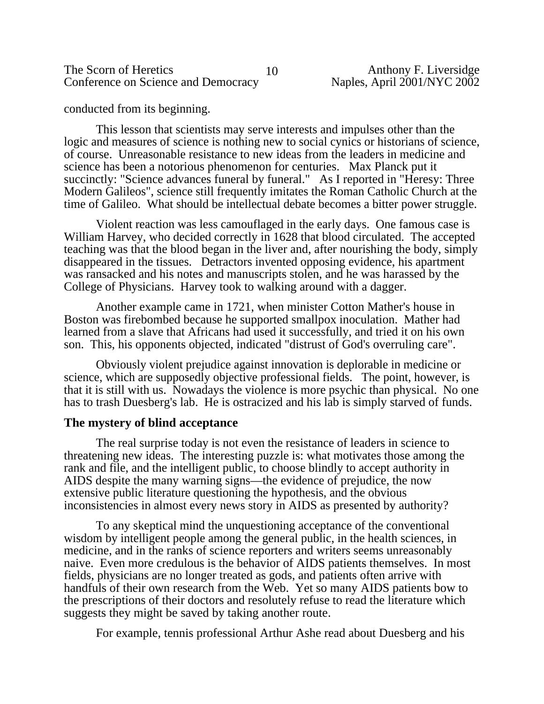The Scorn of Heretics 10<br>
Conference on Science and Democracy Maples, April 2001/NYC 2002 Conference on Science and Democracy

conducted from its beginning.

This lesson that scientists may serve interests and impulses other than the logic and measures of science is nothing new to social cynics or historians of science, of course. Unreasonable resistance to new ideas from the leaders in medicine and science has been a notorious phenomenon for centuries. Max Planck put it succinctly: "Science advances funeral by funeral." As I reported in "Heresy: Three Modern Galileos", science still frequently imitates the Roman Catholic Church at the time of Galileo. What should be intellectual debate becomes a bitter power struggle.

Violent reaction was less camouflaged in the early days. One famous case is William Harvey, who decided correctly in 1628 that blood circulated. The accepted teaching was that the blood began in the liver and, after nourishing the body, simply disappeared in the tissues. Detractors invented opposing evidence, his apartment was ransacked and his notes and manuscripts stolen, and he was harassed by the College of Physicians. Harvey took to walking around with a dagger.

Another example came in 1721, when minister Cotton Mather's house in Boston was firebombed because he supported smallpox inoculation. Mather had learned from a slave that Africans had used it successfully, and tried it on his own son. This, his opponents objected, indicated "distrust of God's overruling care".

Obviously violent prejudice against innovation is deplorable in medicine or science, which are supposedly objective professional fields. The point, however, is that it is still with us. Nowadays the violence is more psychic than physical. No one has to trash Duesberg's lab. He is ostracized and his lab is simply starved of funds.

### **The mystery of blind acceptance**

The real surprise today is not even the resistance of leaders in science to threatening new ideas. The interesting puzzle is: what motivates those among the rank and file, and the intelligent public, to choose blindly to accept authority in AIDS despite the many warning signs—the evidence of prejudice, the now extensive public literature questioning the hypothesis, and the obvious inconsistencies in almost every news story in AIDS as presented by authority?

To any skeptical mind the unquestioning acceptance of the conventional wisdom by intelligent people among the general public, in the health sciences, in medicine, and in the ranks of science reporters and writers seems unreasonably naive. Even more credulous is the behavior of AIDS patients themselves. In most fields, physicians are no longer treated as gods, and patients often arrive with handfuls of their own research from the Web. Yet so many AIDS patients bow to the prescriptions of their doctors and resolutely refuse to read the literature which suggests they might be saved by taking another route.

For example, tennis professional Arthur Ashe read about Duesberg and his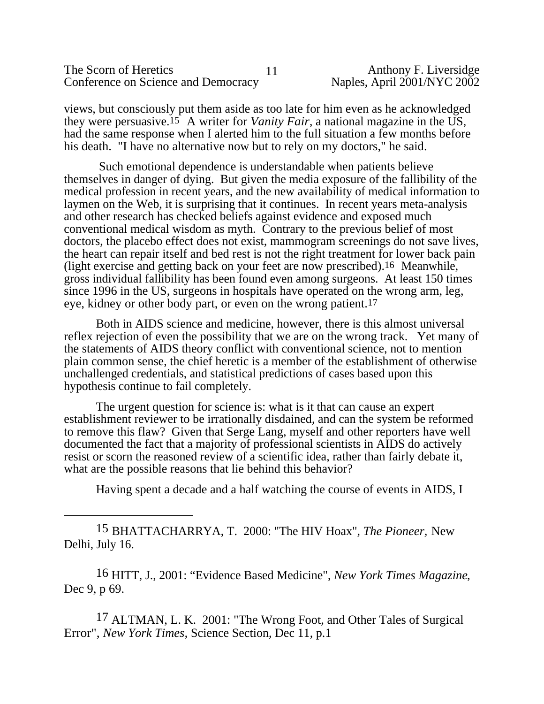| The Scorn of Heretics               |  |
|-------------------------------------|--|
| Conference on Science and Democracy |  |

views, but consciously put them aside as too late for him even as he acknowledged they were persuasive.15 A writer for *Vanity Fair,* a national magazine in the US, had the same response when I alerted him to the full situation a few months before his death. "I have no alternative now but to rely on my doctors," he said.

 Such emotional dependence is understandable when patients believe themselves in danger of dying. But given the media exposure of the fallibility of the medical profession in recent years, and the new availability of medical information to laymen on the Web, it is surprising that it continues. In recent years meta-analysis and other research has checked beliefs against evidence and exposed much conventional medical wisdom as myth. Contrary to the previous belief of most doctors, the placebo effect does not exist, mammogram screenings do not save lives, the heart can repair itself and bed rest is not the right treatment for lower back pain (light exercise and getting back on your feet are now prescribed).16 Meanwhile, gross individual fallibility has been found even among surgeons. At least 150 times since 1996 in the US, surgeons in hospitals have operated on the wrong arm, leg, eye, kidney or other body part, or even on the wrong patient.17

Both in AIDS science and medicine, however, there is this almost universal reflex rejection of even the possibility that we are on the wrong track. Yet many of the statements of AIDS theory conflict with conventional science, not to mention plain common sense, the chief heretic is a member of the establishment of otherwise unchallenged credentials, and statistical predictions of cases based upon this hypothesis continue to fail completely.

The urgent question for science is: what is it that can cause an expert establishment reviewer to be irrationally disdained, and can the system be reformed to remove this flaw? Given that Serge Lang, myself and other reporters have well documented the fact that a majority of professional scientists in AIDS do actively resist or scorn the reasoned review of a scientific idea, rather than fairly debate it, what are the possible reasons that lie behind this behavior?

Having spent a decade and a half watching the course of events in AIDS, I

15 BHATTACHARRYA, T. 2000: "The HIV Hoax", *The Pioneer,* New Delhi, July 16.

16 HITT, J., 2001: "Evidence Based Medicine", *New York Times Magazine*, Dec 9, p 69.

17 ALTMAN, L. K. 2001: "The Wrong Foot, and Other Tales of Surgical Error", *New York Times,* Science Section, Dec 11, p.1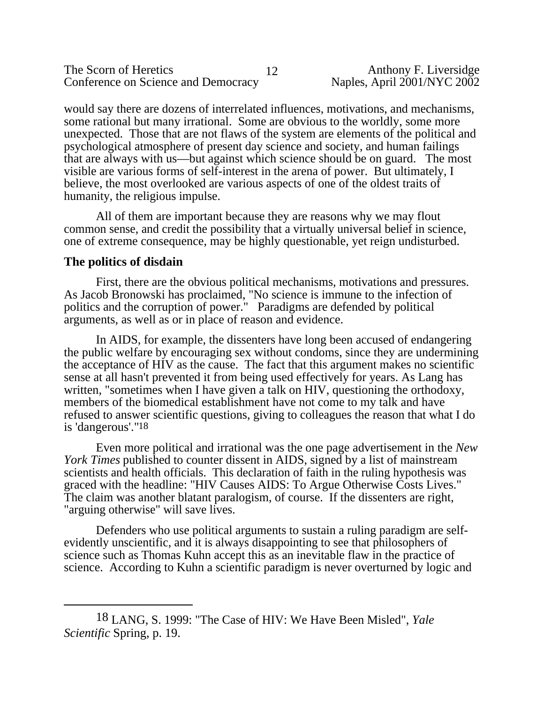would say there are dozens of interrelated influences, motivations, and mechanisms, some rational but many irrational. Some are obvious to the worldly, some more unexpected. Those that are not flaws of the system are elements of the political and psychological atmosphere of present day science and society, and human failings that are always with us—but against which science should be on guard. The most visible are various forms of self-interest in the arena of power. But ultimately, I believe, the most overlooked are various aspects of one of the oldest traits of humanity, the religious impulse.

All of them are important because they are reasons why we may flout common sense, and credit the possibility that a virtually universal belief in science, one of extreme consequence, may be highly questionable, yet reign undisturbed.

# **The politics of disdain**

First, there are the obvious political mechanisms, motivations and pressures. As Jacob Bronowski has proclaimed, "No science is immune to the infection of politics and the corruption of power." Paradigms are defended by political arguments, as well as or in place of reason and evidence.

In AIDS, for example, the dissenters have long been accused of endangering the public welfare by encouraging sex without condoms, since they are undermining the acceptance of HIV as the cause. The fact that this argument makes no scientific sense at all hasn't prevented it from being used effectively for years. As Lang has written, "sometimes when I have given a talk on HIV, questioning the orthodoxy, members of the biomedical establishment have not come to my talk and have refused to answer scientific questions, giving to colleagues the reason that what I do is 'dangerous'."18

Even more political and irrational was the one page advertisement in the *New York Times* published to counter dissent in AIDS, signed by a list of mainstream scientists and health officials. This declaration of faith in the ruling hypothesis was graced with the headline: "HIV Causes AIDS: To Argue Otherwise Costs Lives." The claim was another blatant paralogism, of course. If the dissenters are right, "arguing otherwise" will save lives.

Defenders who use political arguments to sustain a ruling paradigm are selfevidently unscientific, and it is always disappointing to see that philosophers of science such as Thomas Kuhn accept this as an inevitable flaw in the practice of science. According to Kuhn a scientific paradigm is never overturned by logic and

<sup>18</sup> LANG, S. 1999: "The Case of HIV: We Have Been Misled", *Yale Scientific* Spring, p. 19.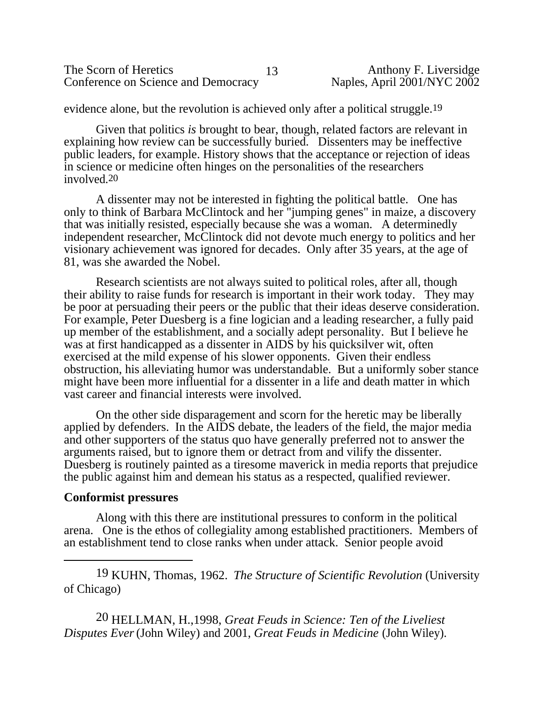| The Scorn of Heretics               | Anthony F. Liversidge       |
|-------------------------------------|-----------------------------|
| Conference on Science and Democracy | Naples, April 2001/NYC 2002 |

evidence alone, but the revolution is achieved only after a political struggle.19

Given that politics *is* brought to bear, though, related factors are relevant in explaining how review can be successfully buried. Dissenters may be ineffective public leaders, for example. History shows that the acceptance or rejection of ideas in science or medicine often hinges on the personalities of the researchers involved.20

A dissenter may not be interested in fighting the political battle. One has only to think of Barbara McClintock and her "jumping genes" in maize, a discovery that was initially resisted, especially because she was a woman. A determinedly independent researcher, McClintock did not devote much energy to politics and her visionary achievement was ignored for decades. Only after 35 years, at the age of 81, was she awarded the Nobel.

Research scientists are not always suited to political roles, after all, though their ability to raise funds for research is important in their work today. They may be poor at persuading their peers or the public that their ideas deserve consideration. For example, Peter Duesberg is a fine logician and a leading researcher, a fully paid up member of the establishment, and a socially adept personality. But I believe he was at first handicapped as a dissenter in AIDS by his quicksilver wit, often exercised at the mild expense of his slower opponents. Given their endless obstruction, his alleviating humor was understandable. But a uniformly sober stance might have been more influential for a dissenter in a life and death matter in which vast career and financial interests were involved.

On the other side disparagement and scorn for the heretic may be liberally applied by defenders. In the AIDS debate, the leaders of the field, the major media and other supporters of the status quo have generally preferred not to answer the arguments raised, but to ignore them or detract from and vilify the dissenter. Duesberg is routinely painted as a tiresome maverick in media reports that prejudice the public against him and demean his status as a respected, qualified reviewer.

#### **Conformist pressures**

Along with this there are institutional pressures to conform in the political arena. One is the ethos of collegiality among established practitioners. Members of an establishment tend to close ranks when under attack. Senior people avoid

19 KUHN, Thomas, 1962. *The Structure of Scientific Revolution* (University of Chicago)

20 HELLMAN, H.,1998, *Great Feuds in Science: Ten of the Liveliest Disputes Ever* (John Wiley) and 2001, *Great Feuds in Medicine* (John Wiley).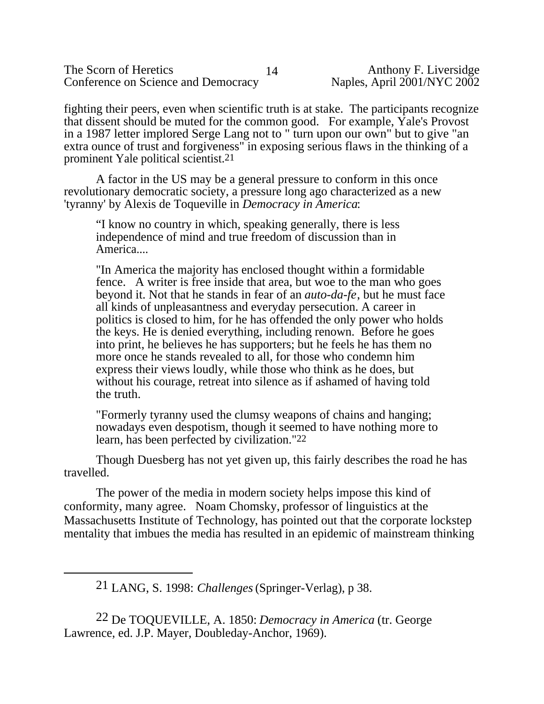| The Scorn of Heretics               |     |
|-------------------------------------|-----|
| Conference on Science and Democracy | Nap |

fighting their peers, even when scientific truth is at stake. The participants recognize that dissent should be muted for the common good. For example, Yale's Provost in a 1987 letter implored Serge Lang not to " turn upon our own" but to give "an extra ounce of trust and forgiveness" in exposing serious flaws in the thinking of a prominent Yale political scientist.21

 A factor in the US may be a general pressure to conform in this once revolutionary democratic society, a pressure long ago characterized as a new 'tyranny' by Alexis de Toqueville in *Democracy in America*:

"I know no country in which, speaking generally, there is less independence of mind and true freedom of discussion than in America....

"In America the majority has enclosed thought within a formidable fence. A writer is free inside that area, but woe to the man who goes beyond it. Not that he stands in fear of an *auto-da-fe*, but he must face all kinds of unpleasantness and everyday persecution. A career in politics is closed to him, for he has offended the only power who holds the keys. He is denied everything, including renown. Before he goes into print, he believes he has supporters; but he feels he has them no more once he stands revealed to all, for those who condemn him express their views loudly, while those who think as he does, but without his courage, retreat into silence as if ashamed of having told the truth.

"Formerly tyranny used the clumsy weapons of chains and hanging; nowadays even despotism, though it seemed to have nothing more to learn, has been perfected by civilization."22

Though Duesberg has not yet given up, this fairly describes the road he has travelled.

The power of the media in modern society helps impose this kind of conformity, many agree. Noam Chomsky, professor of linguistics at the Massachusetts Institute of Technology, has pointed out that the corporate lockstep mentality that imbues the media has resulted in an epidemic of mainstream thinking

21 LANG, S. 1998: *Challenges* (Springer-Verlag), p 38.

22 De TOQUEVILLE, A. 1850: *Democracy in America* (tr. George Lawrence, ed. J.P. Mayer, Doubleday-Anchor, 1969).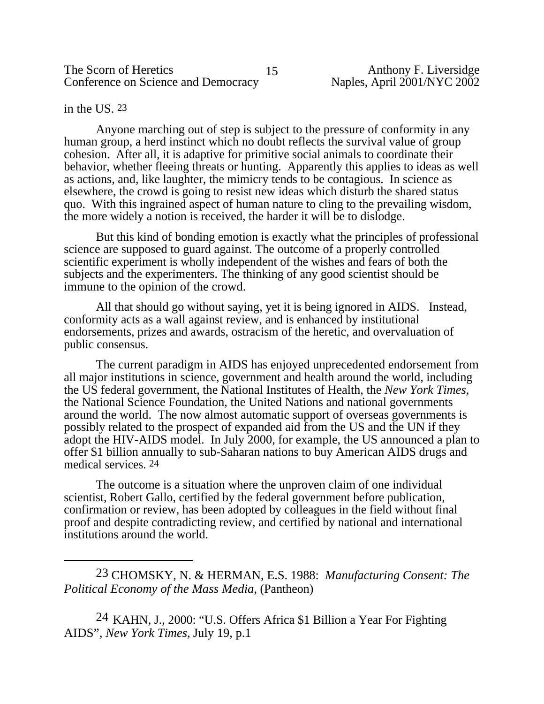in the US. <sup>23</sup>

Anyone marching out of step is subject to the pressure of conformity in any human group, a herd instinct which no doubt reflects the survival value of group cohesion. After all, it is adaptive for primitive social animals to coordinate their behavior, whether fleeing threats or hunting. Apparently this applies to ideas as well as actions, and, like laughter, the mimicry tends to be contagious. In science as elsewhere, the crowd is going to resist new ideas which disturb the shared status quo. With this ingrained aspect of human nature to cling to the prevailing wisdom, the more widely a notion is received, the harder it will be to dislodge.

But this kind of bonding emotion is exactly what the principles of professional science are supposed to guard against. The outcome of a properly controlled scientific experiment is wholly independent of the wishes and fears of both the subjects and the experimenters. The thinking of any good scientist should be immune to the opinion of the crowd.

All that should go without saying, yet it is being ignored in AIDS. Instead, conformity acts as a wall against review, and is enhanced by institutional endorsements, prizes and awards, ostracism of the heretic, and overvaluation of public consensus.

The current paradigm in AIDS has enjoyed unprecedented endorsement from all major institutions in science, government and health around the world, including the US federal government, the National Institutes of Health, the *New York Times,* the National Science Foundation, the United Nations and national governments around the world. The now almost automatic support of overseas governments is possibly related to the prospect of expanded aid from the US and the UN if they adopt the HIV-AIDS model. In July 2000, for example, the US announced a plan to offer \$1 billion annually to sub-Saharan nations to buy American AIDS drugs and medical services. 24

The outcome is a situation where the unproven claim of one individual scientist, Robert Gallo, certified by the federal government before publication, confirmation or review, has been adopted by colleagues in the field without final proof and despite contradicting review, and certified by national and international institutions around the world.

23 CHOMSKY, N. & HERMAN, E.S. 1988: *Manufacturing Consent: The Political Economy of the Mass Media*, (Pantheon)

24 KAHN, J., 2000: "U.S. Offers Africa \$1 Billion a Year For Fighting AIDS", *New York Times,* July 19, p.1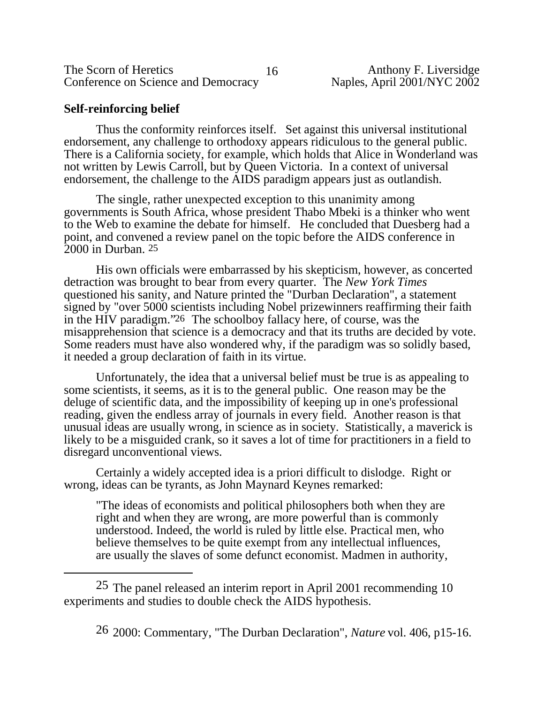| The Scorn of Heretics               |  |
|-------------------------------------|--|
| Conference on Science and Democracy |  |

# **Self-reinforcing belief**

Thus the conformity reinforces itself. Set against this universal institutional endorsement, any challenge to orthodoxy appears ridiculous to the general public. There is a California society, for example, which holds that Alice in Wonderland was not written by Lewis Carroll, but by Queen Victoria. In a context of universal endorsement, the challenge to the AIDS paradigm appears just as outlandish.

The single, rather unexpected exception to this unanimity among governments is South Africa, whose president Thabo Mbeki is a thinker who went to the Web to examine the debate for himself. He concluded that Duesberg had a point, and convened a review panel on the topic before the AIDS conference in 2000 in Durban. 25

His own officials were embarrassed by his skepticism, however, as concerted detraction was brought to bear from every quarter. The *New York Times* questioned his sanity, and Nature printed the "Durban Declaration", a statement signed by "over 5000 scientists including Nobel prizewinners reaffirming their faith in the HIV paradigm."26 The schoolboy fallacy here, of course, was the misapprehension that science is a democracy and that its truths are decided by vote. Some readers must have also wondered why, if the paradigm was so solidly based, it needed a group declaration of faith in its virtue.

Unfortunately, the idea that a universal belief must be true is as appealing to some scientists, it seems, as it is to the general public. One reason may be the deluge of scientific data, and the impossibility of keeping up in one's professional reading, given the endless array of journals in every field. Another reason is that unusual ideas are usually wrong, in science as in society. Statistically, a maverick is likely to be a misguided crank, so it saves a lot of time for practitioners in a field to disregard unconventional views.

Certainly a widely accepted idea is a priori difficult to dislodge. Right or wrong, ideas can be tyrants, as John Maynard Keynes remarked:

"The ideas of economists and political philosophers both when they are right and when they are wrong, are more powerful than is commonly understood. Indeed, the world is ruled by little else. Practical men, who believe themselves to be quite exempt from any intellectual influences, are usually the slaves of some defunct economist. Madmen in authority,

25 The panel released an interim report in April 2001 recommending 10 experiments and studies to double check the AIDS hypothesis.

26 2000: Commentary, "The Durban Declaration", *Nature* vol. 406, p15-16.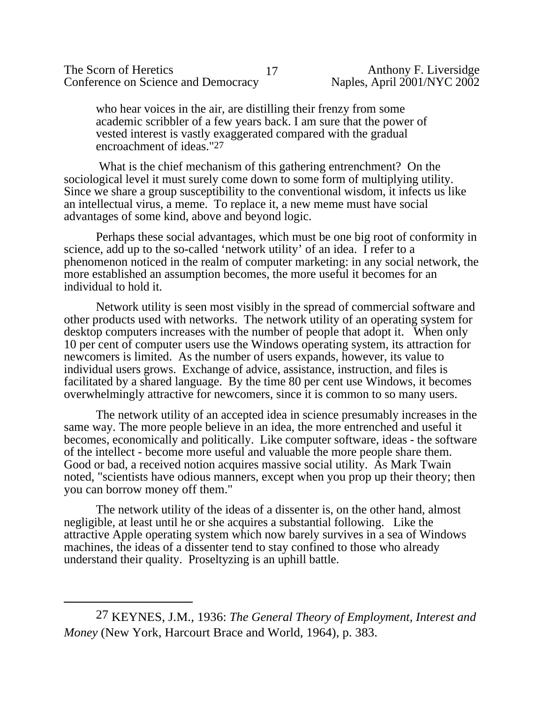The Scorn of Heretics<br>
Conference on Science and Democracy<br>
17 Anthony F. Liversidge<br>
Naples, April 2001/NYC 2002 Conference on Science and Democracy

who hear voices in the air, are distilling their frenzy from some academic scribbler of a few years back. I am sure that the power of vested interest is vastly exaggerated compared with the gradual encroachment of ideas."27

 What is the chief mechanism of this gathering entrenchment? On the sociological level it must surely come down to some form of multiplying utility. Since we share a group susceptibility to the conventional wisdom, it infects us like an intellectual virus, a meme. To replace it, a new meme must have social advantages of some kind, above and beyond logic.

Perhaps these social advantages, which must be one big root of conformity in science, add up to the so-called 'network utility' of an idea. I refer to a phenomenon noticed in the realm of computer marketing: in any social network, the more established an assumption becomes, the more useful it becomes for an individual to hold it.

Network utility is seen most visibly in the spread of commercial software and other products used with networks. The network utility of an operating system for desktop computers increases with the number of people that adopt it. When only 10 per cent of computer users use the Windows operating system, its attraction for newcomers is limited. As the number of users expands, however, its value to individual users grows. Exchange of advice, assistance, instruction, and files is facilitated by a shared language. By the time 80 per cent use Windows, it becomes overwhelmingly attractive for newcomers, since it is common to so many users.

The network utility of an accepted idea in science presumably increases in the same way. The more people believe in an idea, the more entrenched and useful it becomes, economically and politically. Like computer software, ideas - the software of the intellect - become more useful and valuable the more people share them. Good or bad, a received notion acquires massive social utility. As Mark Twain noted, "scientists have odious manners, except when you prop up their theory; then you can borrow money off them."

The network utility of the ideas of a dissenter is, on the other hand, almost negligible, at least until he or she acquires a substantial following. Like the attractive Apple operating system which now barely survives in a sea of Windows machines, the ideas of a dissenter tend to stay confined to those who already understand their quality. Proseltyzing is an uphill battle.

<sup>27</sup> KEYNES, J.M., 1936: *The General Theory of Employment, Interest and Money* (New York, Harcourt Brace and World, 1964), p. 383.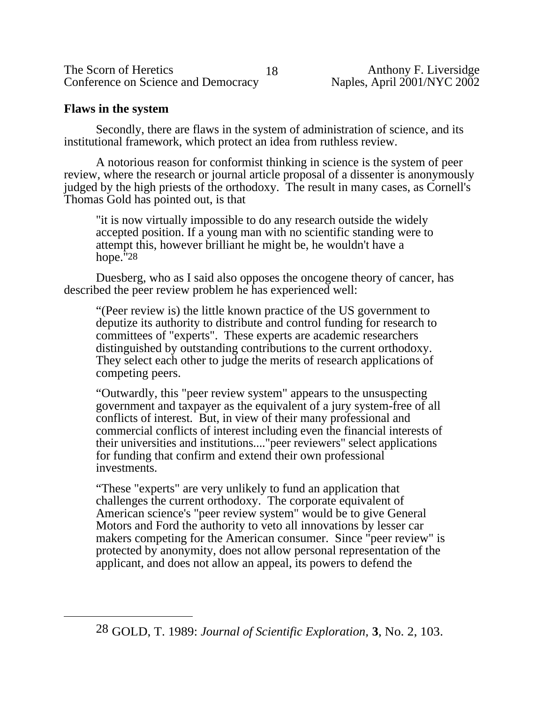| The Scorn of Heretics               |  |
|-------------------------------------|--|
| Conference on Science and Democracy |  |

# **Flaws in the system**

Secondly, there are flaws in the system of administration of science, and its institutional framework, which protect an idea from ruthless review.

A notorious reason for conformist thinking in science is the system of peer review, where the research or journal article proposal of a dissenter is anonymously judged by the high priests of the orthodoxy. The result in many cases, as Cornell's Thomas Gold has pointed out, is that

"it is now virtually impossible to do any research outside the widely accepted position. If a young man with no scientific standing were to attempt this, however brilliant he might be, he wouldn't have a hope."28

Duesberg, who as I said also opposes the oncogene theory of cancer, has described the peer review problem he has experienced well:

"(Peer review is) the little known practice of the US government to deputize its authority to distribute and control funding for research to committees of "experts". These experts are academic researchers distinguished by outstanding contributions to the current orthodoxy. They select each other to judge the merits of research applications of competing peers.

"Outwardly, this "peer review system" appears to the unsuspecting government and taxpayer as the equivalent of a jury system-free of all conflicts of interest. But, in view of their many professional and commercial conflicts of interest including even the financial interests of their universities and institutions...."peer reviewers" select applications for funding that confirm and extend their own professional investments.

"These "experts" are very unlikely to fund an application that challenges the current orthodoxy. The corporate equivalent of American science's "peer review system" would be to give General Motors and Ford the authority to veto all innovations by lesser car makers competing for the American consumer. Since "peer review" is protected by anonymity, does not allow personal representation of the applicant, and does not allow an appeal, its powers to defend the

<sup>28</sup> GOLD, T. 1989: *Journal of Scientific Exploration,* **3**, No. 2, 103.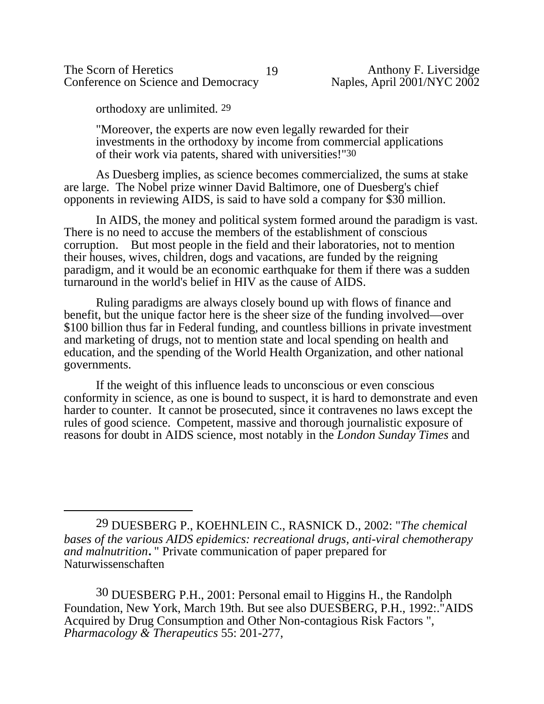The Scorn of Heretics 19<br>
Conference on Science and Democracy 19<br>
Naples, April 2001/NYC 2002 Conference on Science and Democracy

orthodoxy are unlimited. 29

"Moreover, the experts are now even legally rewarded for their investments in the orthodoxy by income from commercial applications of their work via patents, shared with universities!"30

As Duesberg implies, as science becomes commercialized, the sums at stake are large. The Nobel prize winner David Baltimore, one of Duesberg's chief opponents in reviewing AIDS, is said to have sold a company for \$30 million.

In AIDS, the money and political system formed around the paradigm is vast. There is no need to accuse the members of the establishment of conscious corruption. But most people in the field and their laboratories, not to mention their houses, wives, children, dogs and vacations, are funded by the reigning paradigm, and it would be an economic earthquake for them if there was a sudden turnaround in the world's belief in HIV as the cause of AIDS.

Ruling paradigms are always closely bound up with flows of finance and benefit, but the unique factor here is the sheer size of the funding involved—over \$100 billion thus far in Federal funding, and countless billions in private investment and marketing of drugs, not to mention state and local spending on health and education, and the spending of the World Health Organization, and other national governments.

If the weight of this influence leads to unconscious or even conscious conformity in science, as one is bound to suspect, it is hard to demonstrate and even harder to counter. It cannot be prosecuted, since it contravenes no laws except the rules of good science. Competent, massive and thorough journalistic exposure of reasons for doubt in AIDS science, most notably in the *London Sunday Times* and

30 DUESBERG P.H., 2001: Personal email to Higgins H., the Randolph Foundation, New York, March 19th. But see also DUESBERG, P.H., 1992:."AIDS Acquired by Drug Consumption and Other Non-contagious Risk Factors ", *Pharmacology & Therapeutics* 55: 201-277,

<sup>29</sup> DUESBERG P., KOEHNLEIN C., RASNICK D., 2002: "*The chemical bases of the various AIDS epidemics: recreational drugs, anti-viral chemotherapy and malnutrition***.** " Private communication of paper prepared for Naturwissenschaften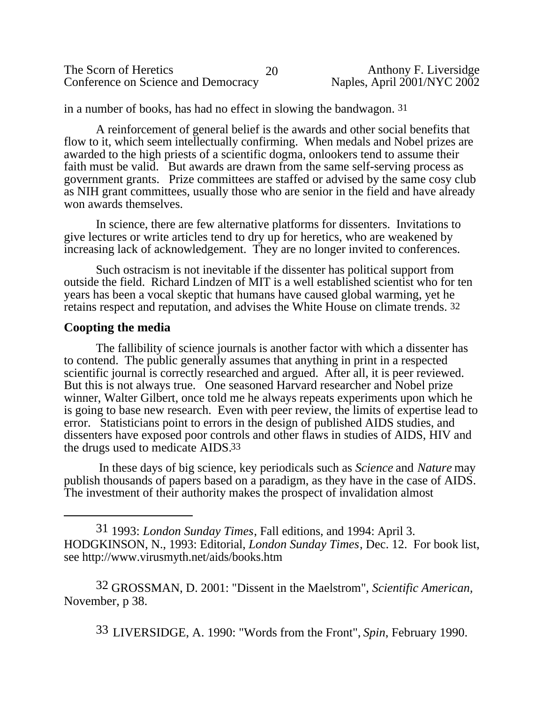| The Scorn of Heretics               | 20 | Anthony F. Liversidge       |
|-------------------------------------|----|-----------------------------|
| Conference on Science and Democracy |    | Naples, April 2001/NYC 2002 |

in a number of books, has had no effect in slowing the bandwagon. 31

A reinforcement of general belief is the awards and other social benefits that flow to it, which seem intellectually confirming. When medals and Nobel prizes are awarded to the high priests of a scientific dogma, onlookers tend to assume their faith must be valid. But awards are drawn from the same self-serving process as government grants. Prize committees are staffed or advised by the same cosy club as NIH grant committees, usually those who are senior in the field and have already won awards themselves.

In science, there are few alternative platforms for dissenters. Invitations to give lectures or write articles tend to dry up for heretics, who are weakened by increasing lack of acknowledgement. They are no longer invited to conferences.

Such ostracism is not inevitable if the dissenter has political support from outside the field. Richard Lindzen of MIT is a well established scientist who for ten years has been a vocal skeptic that humans have caused global warming, yet he retains respect and reputation, and advises the White House on climate trends. 32

# **Coopting the media**

The fallibility of science journals is another factor with which a dissenter has to contend. The public generally assumes that anything in print in a respected scientific journal is correctly researched and argued. After all, it is peer reviewed. But this is not always true. One seasoned Harvard researcher and Nobel prize winner, Walter Gilbert, once told me he always repeats experiments upon which he is going to base new research. Even with peer review, the limits of expertise lead to error. Statisticians point to errors in the design of published AIDS studies, and dissenters have exposed poor controls and other flaws in studies of AIDS, HIV and the drugs used to medicate AIDS.33

 In these days of big science, key periodicals such as *Science* and *Nature* may publish thousands of papers based on a paradigm, as they have in the case of AIDS. The investment of their authority makes the prospect of invalidation almost

31 1993: *London Sunday Times*, Fall editions, and 1994: April 3. HODGKINSON, N., 1993: Editorial, *London Sunday Times*, Dec. 12. For book list, see <http://www.virusmyth.net/aids/books.htm>

32 GROSSMAN, D. 2001: "Dissent in the Maelstrom", *Scientific American,* November, p 38.

33 LIVERSIDGE, A. 1990: "Words from the Front", *Spin*, February 1990.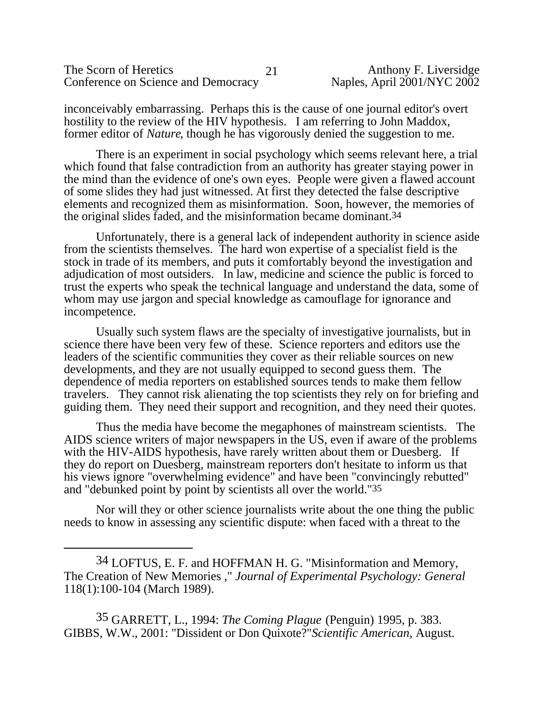| The Scorn of Heretics               |  |
|-------------------------------------|--|
| Conference on Science and Democracy |  |

inconceivably embarrassing. Perhaps this is the cause of one journal editor's overt hostility to the review of the HIV hypothesis. I am referring to John Maddox, former editor of *Nature*, though he has vigorously denied the suggestion to me.

There is an experiment in social psychology which seems relevant here, a trial which found that false contradiction from an authority has greater staying power in the mind than the evidence of one's own eyes. People were given a flawed account of some slides they had just witnessed. At first they detected the false descriptive elements and recognized them as misinformation. Soon, however, the memories of the original slides faded, and the misinformation became dominant.34

Unfortunately, there is a general lack of independent authority in science aside from the scientists themselves. The hard won expertise of a specialist field is the stock in trade of its members, and puts it comfortably beyond the investigation and adjudication of most outsiders. In law, medicine and science the public is forced to trust the experts who speak the technical language and understand the data, some of whom may use jargon and special knowledge as camouflage for ignorance and incompetence.

Usually such system flaws are the specialty of investigative journalists, but in science there have been very few of these. Science reporters and editors use the leaders of the scientific communities they cover as their reliable sources on new developments, and they are not usually equipped to second guess them. The dependence of media reporters on established sources tends to make them fellow travelers. They cannot risk alienating the top scientists they rely on for briefing and guiding them. They need their support and recognition, and they need their quotes.

Thus the media have become the megaphones of mainstream scientists. The AIDS science writers of major newspapers in the US, even if aware of the problems with the HIV-AIDS hypothesis, have rarely written about them or Duesberg. If they do report on Duesberg, mainstream reporters don't hesitate to inform us that his views ignore "overwhelming evidence" and have been "convincingly rebutted" and "debunked point by point by scientists all over the world."35

Nor will they or other science journalists write about the one thing the public needs to know in assessing any scientific dispute: when faced with a threat to the

35 GARRETT, L., 1994: *The Coming Plague* (Penguin) 1995, p. 383. GIBBS, W.W., 2001: "Dissident or Don Quixote?"*Scientific American*, August.

<sup>34</sup> LOFTUS, E. F. and HOFFMAN H. G. "Misinformation and Memory, The Creation of New Memories ," *Journal of Experimental Psychology: General* 118(1):100-104 (March 1989).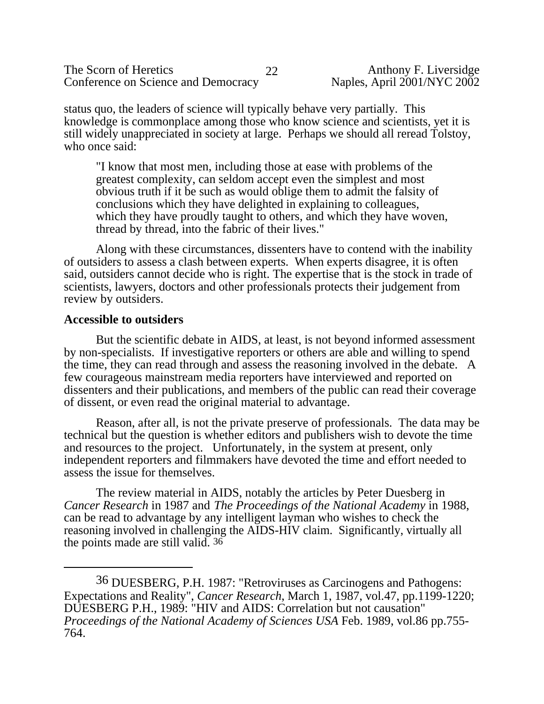status quo, the leaders of science will typically behave very partially. This knowledge is commonplace among those who know science and scientists, yet it is still widely unappreciated in society at large. Perhaps we should all reread Tolstoy, who once said:

"I know that most men, including those at ease with problems of the greatest complexity, can seldom accept even the simplest and most obvious truth if it be such as would oblige them to admit the falsity of conclusions which they have delighted in explaining to colleagues, which they have proudly taught to others, and which they have woven, thread by thread, into the fabric of their lives."

Along with these circumstances, dissenters have to contend with the inability of outsiders to assess a clash between experts. When experts disagree, it is often said, outsiders cannot decide who is right. The expertise that is the stock in trade of scientists, lawyers, doctors and other professionals protects their judgement from review by outsiders.

# **Accessible to outsiders**

But the scientific debate in AIDS, at least, is not beyond informed assessment by non-specialists. If investigative reporters or others are able and willing to spend the time, they can read through and assess the reasoning involved in the debate. A few courageous mainstream media reporters have interviewed and reported on dissenters and their publications, and members of the public can read their coverage of dissent, or even read the original material to advantage.

Reason, after all, is not the private preserve of professionals. The data may be technical but the question is whether editors and publishers wish to devote the time and resources to the project. Unfortunately, in the system at present, only independent reporters and filmmakers have devoted the time and effort needed to assess the issue for themselves.

The review material in AIDS, notably the articles by Peter Duesberg in *Cancer Research* in 1987 and *The Proceedings of the National Academy* in 1988, can be read to advantage by any intelligent layman who wishes to check the reasoning involved in challenging the AIDS-HIV claim. Significantly, virtually all the points made are still valid. 36

<sup>36</sup> DUESBERG, P.H. 1987: "Retroviruses as Carcinogens and Pathogens: Expectations and Reality", *Cancer Research*, March 1, 1987, vol.47, pp.1199-1220; DUESBERG P.H., 1989: "HIV and AIDS: Correlation but not causation" *Proceedings of the National Academy of Sciences USA* Feb. 1989, vol.86 pp.755- 764.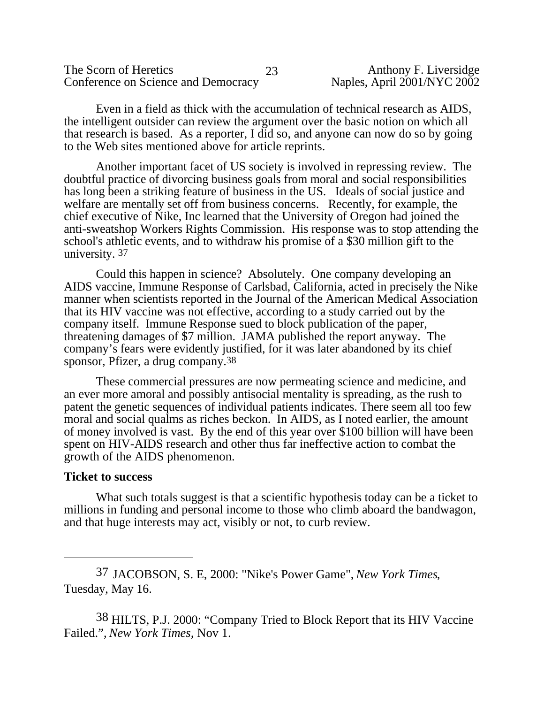| The Scorn of Heretics               |  |
|-------------------------------------|--|
| Conference on Science and Democracy |  |

Even in a field as thick with the accumulation of technical research as AIDS, the intelligent outsider can review the argument over the basic notion on which all that research is based. As a reporter, I did so, and anyone can now do so by going to the Web sites mentioned above for article reprints.

Another important facet of US society is involved in repressing review. The doubtful practice of divorcing business goals from moral and social responsibilities has long been a striking feature of business in the US. Ideals of social justice and welfare are mentally set off from business concerns. Recently, for example, the chief executive of Nike, Inc learned that the University of Oregon had joined the anti-sweatshop Workers Rights Commission. His response was to stop attending the school's athletic events, and to withdraw his promise of a \$30 million gift to the university. 37

Could this happen in science? Absolutely. One company developing an AIDS vaccine, Immune Response of Carlsbad, California, acted in precisely the Nike manner when scientists reported in the Journal of the American Medical Association that its HIV vaccine was not effective, according to a study carried out by the company itself. Immune Response sued to block publication of the paper, threatening damages of \$7 million. JAMA published the report anyway. The company's fears were evidently justified, for it was later abandoned by its chief sponsor, Pfizer, a drug company.38

These commercial pressures are now permeating science and medicine, and an ever more amoral and possibly antisocial mentality is spreading, as the rush to patent the genetic sequences of individual patients indicates. There seem all too few moral and social qualms as riches beckon. In AIDS, as I noted earlier, the amount of money involved is vast. By the end of this year over \$100 billion will have been spent on HIV-AIDS research and other thus far ineffective action to combat the growth of the AIDS phenomenon.

#### **Ticket to success**

What such totals suggest is that a scientific hypothesis today can be a ticket to millions in funding and personal income to those who climb aboard the bandwagon, and that huge interests may act, visibly or not, to curb review.

<sup>37</sup> JACOBSON, S. E, 2000: "Nike's Power Game", *New York Times*, Tuesday, May 16.

<sup>38</sup> HILTS, P.J. 2000: "Company Tried to Block Report that its HIV Vaccine Failed.", *New York Times,* Nov 1.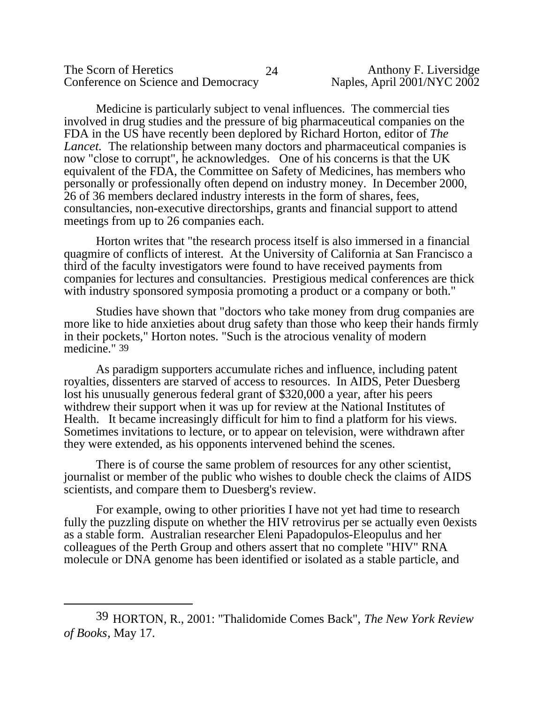The Scorn of Heretics 24 Anthony F. Liversidge<br>Conference on Science and Democracy Naples, April 2001/NYC 2002 Conference on Science and Democracy

Medicine is particularly subject to venal influences. The commercial ties involved in drug studies and the pressure of big pharmaceutical companies on the FDA in the US have recently been deplored by Richard Horton, editor of *The Lancet.* The relationship between many doctors and pharmaceutical companies is now "close to corrupt", he acknowledges. One of his concerns is that the UK equivalent of the FDA, the Committee on Safety of Medicines, has members who personally or professionally often depend on industry money. In December 2000, 26 of 36 members declared industry interests in the form of shares, fees, consultancies, non-executive directorships, grants and financial support to attend meetings from up to 26 companies each.

Horton writes that "the research process itself is also immersed in a financial quagmire of conflicts of interest. At the University of California at San Francisco a third of the faculty investigators were found to have received payments from companies for lectures and consultancies. Prestigious medical conferences are thick with industry sponsored symposia promoting a product or a company or both."

Studies have shown that "doctors who take money from drug companies are more like to hide anxieties about drug safety than those who keep their hands firmly in their pockets," Horton notes. "Such is the atrocious venality of modern medicine." 39

As paradigm supporters accumulate riches and influence, including patent royalties, dissenters are starved of access to resources. In AIDS, Peter Duesberg lost his unusually generous federal grant of \$320,000 a year, after his peers withdrew their support when it was up for review at the National Institutes of Health. It became increasingly difficult for him to find a platform for his views. Sometimes invitations to lecture, or to appear on television, were withdrawn after they were extended, as his opponents intervened behind the scenes.

There is of course the same problem of resources for any other scientist, journalist or member of the public who wishes to double check the claims of AIDS scientists, and compare them to Duesberg's review.

For example, owing to other priorities I have not yet had time to research fully the puzzling dispute on whether the HIV retrovirus per se actually even 0exists as a stable form. Australian researcher Eleni Papadopulos-Eleopulus and her colleagues of the Perth Group and others assert that no complete "HIV" RNA molecule or DNA genome has been identified or isolated as a stable particle, and

<sup>39</sup> HORTON, R., 2001: "Thalidomide Comes Back", *The New York Review of Books*, May 17.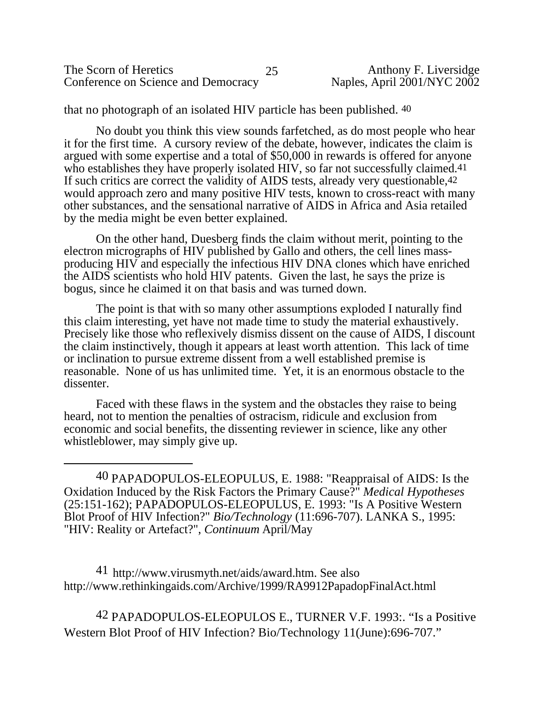| The Scorn of Heretics               | Anthony F. Liversidge       |
|-------------------------------------|-----------------------------|
| Conference on Science and Democracy | Naples, April 2001/NYC 2002 |

that no photograph of an isolated HIV particle has been published. 40

No doubt you think this view sounds farfetched, as do most people who hear it for the first time. A cursory review of the debate, however, indicates the claim is argued with some expertise and a total of \$50,000 in rewards is offered for anyone who establishes they have properly isolated HIV, so far not successfully claimed.<sup>41</sup> If such critics are correct the validity of AIDS tests, already very questionable,42 would approach zero and many positive HIV tests, known to cross-react with many other substances, and the sensational narrative of AIDS in Africa and Asia retailed by the media might be even better explained.

On the other hand, Duesberg finds the claim without merit, pointing to the electron micrographs of HIV published by Gallo and others, the cell lines massproducing HIV and especially the infectious HIV DNA clones which have enriched the AIDS scientists who hold HIV patents. Given the last, he says the prize is bogus, since he claimed it on that basis and was turned down.

The point is that with so many other assumptions exploded I naturally find this claim interesting, yet have not made time to study the material exhaustively. Precisely like those who reflexively dismiss dissent on the cause of AIDS, I discount the claim instinctively, though it appears at least worth attention. This lack of time or inclination to pursue extreme dissent from a well established premise is reasonable. None of us has unlimited time. Yet, it is an enormous obstacle to the dissenter.

Faced with these flaws in the system and the obstacles they raise to being heard, not to mention the penalties of ostracism, ridicule and exclusion from economic and social benefits, the dissenting reviewer in science, like any other whistleblower, may simply give up.

41 [http://www.virusmyth.net/aids/award.htm.](http://www.virusmyth.net/aids/award.htm) See also <http://www.rethinkingaids.com/Archive/1999/RA9912PapadopFinalAct.html>

42 PAPADOPULOS-ELEOPULOS E., TURNER V.F. 1993:. "Is a Positive Western Blot Proof of HIV Infection? Bio/Technology 11(June):696-707."

<sup>40</sup> PAPADOPULOS-ELEOPULUS, E. 1988: "Reappraisal of AIDS: Is the Oxidation Induced by the Risk Factors the Primary Cause?" *Medical Hypotheses* (25:151-162); PAPADOPULOS-ELEOPULUS, E. 1993: "Is A Positive Western Blot Proof of HIV Infection?" *Bio/Technology* (11:696-707). LANKA S., 1995: "HIV: Reality or Artefact?", *Continuum* April/May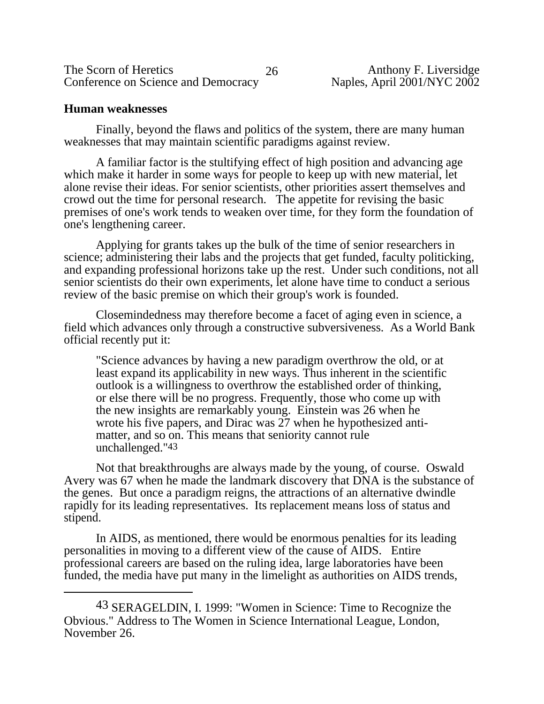| The Scorn of Heretics               |  |
|-------------------------------------|--|
| Conference on Science and Democracy |  |

## **Human weaknesses**

Finally, beyond the flaws and politics of the system, there are many human weaknesses that may maintain scientific paradigms against review.

A familiar factor is the stultifying effect of high position and advancing age which make it harder in some ways for people to keep up with new material, let alone revise their ideas. For senior scientists, other priorities assert themselves and crowd out the time for personal research. The appetite for revising the basic premises of one's work tends to weaken over time, for they form the foundation of one's lengthening career.

Applying for grants takes up the bulk of the time of senior researchers in science; administering their labs and the projects that get funded, faculty politicking, and expanding professional horizons take up the rest. Under such conditions, not all senior scientists do their own experiments, let alone have time to conduct a serious review of the basic premise on which their group's work is founded.

Closemindedness may therefore become a facet of aging even in science, a field which advances only through a constructive subversiveness. As a World Bank official recently put it:

"Science advances by having a new paradigm overthrow the old, or at least expand its applicability in new ways. Thus inherent in the scientific outlook is a willingness to overthrow the established order of thinking, or else there will be no progress. Frequently, those who come up with the new insights are remarkably young. Einstein was 26 when he wrote his five papers, and Dirac was 27 when he hypothesized antimatter, and so on. This means that seniority cannot rule unchallenged."43

Not that breakthroughs are always made by the young, of course. Oswald Avery was 67 when he made the landmark discovery that DNA is the substance of the genes. But once a paradigm reigns, the attractions of an alternative dwindle rapidly for its leading representatives. Its replacement means loss of status and stipend.

In AIDS, as mentioned, there would be enormous penalties for its leading personalities in moving to a different view of the cause of AIDS. Entire professional careers are based on the ruling idea, large laboratories have been funded, the media have put many in the limelight as authorities on AIDS trends,

<sup>43</sup> SERAGELDIN, I. 1999: "Women in Science: Time to Recognize the Obvious." Address to The Women in Science International League, London, November 26.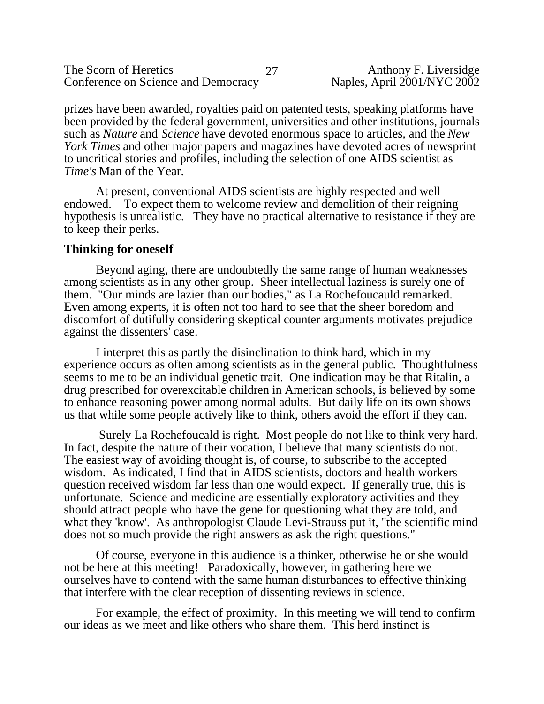prizes have been awarded, royalties paid on patented tests, speaking platforms have been provided by the federal government, universities and other institutions, journals such as *Nature* and *Science* have devoted enormous space to articles, and the *New York Times* and other major papers and magazines have devoted acres of newsprint to uncritical stories and profiles, including the selection of one AIDS scientist as *Time's* Man of the Year.

At present, conventional AIDS scientists are highly respected and well endowed. To expect them to welcome review and demolition of their reigning hypothesis is unrealistic. They have no practical alternative to resistance if they are to keep their perks.

## **Thinking for oneself**

Beyond aging, there are undoubtedly the same range of human weaknesses among scientists as in any other group. Sheer intellectual laziness is surely one of them. "Our minds are lazier than our bodies," as La Rochefoucauld remarked. Even among experts, it is often not too hard to see that the sheer boredom and discomfort of dutifully considering skeptical counter arguments motivates prejudice against the dissenters' case.

I interpret this as partly the disinclination to think hard, which in my experience occurs as often among scientists as in the general public. Thoughtfulness seems to me to be an individual genetic trait. One indication may be that Ritalin, a drug prescribed for overexcitable children in American schools, is believed by some to enhance reasoning power among normal adults. But daily life on its own shows us that while some people actively like to think, others avoid the effort if they can.

 Surely La Rochefoucald is right. Most people do not like to think very hard. In fact, despite the nature of their vocation, I believe that many scientists do not. The easiest way of avoiding thought is, of course, to subscribe to the accepted wisdom. As indicated, I find that in AIDS scientists, doctors and health workers question received wisdom far less than one would expect. If generally true, this is unfortunate. Science and medicine are essentially exploratory activities and they should attract people who have the gene for questioning what they are told, and what they 'know'. As anthropologist Claude Levi-Strauss put it, "the scientific mind does not so much provide the right answers as ask the right questions."

Of course, everyone in this audience is a thinker, otherwise he or she would not be here at this meeting! Paradoxically, however, in gathering here we ourselves have to contend with the same human disturbances to effective thinking that interfere with the clear reception of dissenting reviews in science.

For example, the effect of proximity. In this meeting we will tend to confirm our ideas as we meet and like others who share them. This herd instinct is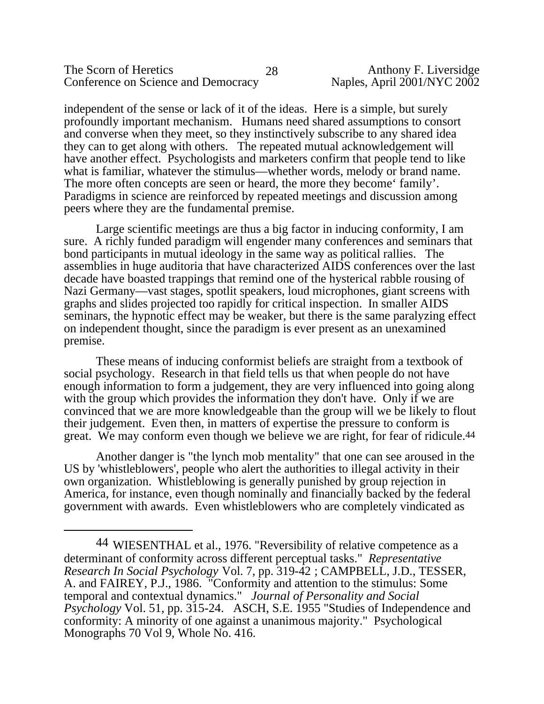#### The Scorn of Heretics 28 Anthony F. Liversidge<br>Conference on Science and Democracy Naples, April 2001/NYC 2002 Conference on Science and Democracy

independent of the sense or lack of it of the ideas. Here is a simple, but surely profoundly important mechanism. Humans need shared assumptions to consort and converse when they meet, so they instinctively subscribe to any shared idea they can to get along with others. The repeated mutual acknowledgement will have another effect. Psychologists and marketers confirm that people tend to like what is familiar, whatever the stimulus—whether words, melody or brand name. The more often concepts are seen or heard, the more they become' family'. Paradigms in science are reinforced by repeated meetings and discussion among peers where they are the fundamental premise.

Large scientific meetings are thus a big factor in inducing conformity, I am sure. A richly funded paradigm will engender many conferences and seminars that bond participants in mutual ideology in the same way as political rallies. The assemblies in huge auditoria that have characterized AIDS conferences over the last decade have boasted trappings that remind one of the hysterical rabble rousing of Nazi Germany—vast stages, spotlit speakers, loud microphones, giant screens with graphs and slides projected too rapidly for critical inspection. In smaller AIDS seminars, the hypnotic effect may be weaker, but there is the same paralyzing effect on independent thought, since the paradigm is ever present as an unexamined premise.

These means of inducing conformist beliefs are straight from a textbook of social psychology. Research in that field tells us that when people do not have enough information to form a judgement, they are very influenced into going along with the group which provides the information they don't have. Only if we are convinced that we are more knowledgeable than the group will we be likely to flout their judgement. Even then, in matters of expertise the pressure to conform is great. We may conform even though we believe we are right, for fear of ridicule.44

Another danger is "the lynch mob mentality" that one can see aroused in the US by 'whistleblowers', people who alert the authorities to illegal activity in their own organization. Whistleblowing is generally punished by group rejection in America, for instance, even though nominally and financially backed by the federal government with awards. Even whistleblowers who are completely vindicated as

<sup>44</sup> WIESENTHAL et al., 1976. "Reversibility of relative competence as a determinant of conformity across different perceptual tasks." *Representative Research In Social Psychology* Vol. 7, pp. 319-42 ; CAMPBELL, J.D., TESSER, A. and FAIREY, P.J., 1986. "Conformity and attention to the stimulus: Some temporal and contextual dynamics." *Journal of Personality and Social Psychology* Vol. 51, pp. 315-24. ASCH, S.E. 1955 "Studies of Independence and conformity: A minority of one against a unanimous majority." Psychological Monographs 70 Vol 9, Whole No. 416.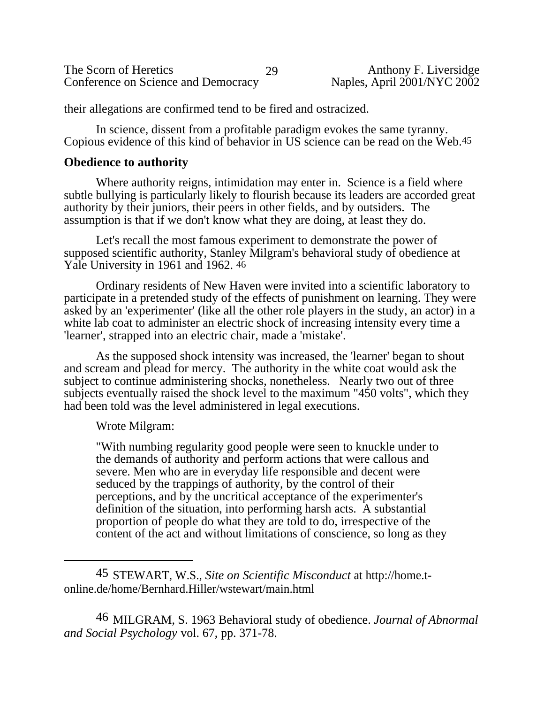| The Scorn of Heretics               | 29 | Anthony F. Liversidge       |
|-------------------------------------|----|-----------------------------|
| Conference on Science and Democracy |    | Naples, April 2001/NYC 2002 |

their allegations are confirmed tend to be fired and ostracized.

In science, dissent from a profitable paradigm evokes the same tyranny. Copious evidence of this kind of behavior in US science can be read on the Web.45

## **Obedience to authority**

Where authority reigns, intimidation may enter in. Science is a field where subtle bullying is particularly likely to flourish because its leaders are accorded great authority by their juniors, their peers in other fields, and by outsiders. The assumption is that if we don't know what they are doing, at least they do.

Let's recall the most famous experiment to demonstrate the power of supposed scientific authority, Stanley Milgram's behavioral study of obedience at Yale University in 1961 and 1962. 46

Ordinary residents of New Haven were invited into a scientific laboratory to participate in a pretended study of the effects of punishment on learning. They were asked by an 'experimenter' (like all the other role players in the study, an actor) in a white lab coat to administer an electric shock of increasing intensity every time a 'learner', strapped into an electric chair, made a 'mistake'.

As the supposed shock intensity was increased, the 'learner' began to shout and scream and plead for mercy. The authority in the white coat would ask the subject to continue administering shocks, nonetheless. Nearly two out of three subjects eventually raised the shock level to the maximum "450 volts", which they had been told was the level administered in legal executions.

Wrote Milgram:

"With numbing regularity good people were seen to knuckle under to the demands of authority and perform actions that were callous and severe. Men who are in everyday life responsible and decent were seduced by the trappings of authority, by the control of their perceptions, and by the uncritical acceptance of the experimenter's definition of the situation, into performing harsh acts. A substantial proportion of people do what they are told to do, irrespective of the content of the act and without limitations of conscience, so long as they

46 MILGRAM, S. 1963 Behavioral study of obedience. *Journal of Abnormal and Social Psychology* vol. 67, pp. 371-78.

<sup>45</sup> STEWART, W.S., *Site on Scientific Misconduct* at [http://home.t](http://home.t-)online.de/home/Bernhard.Hiller/wstewart/main.html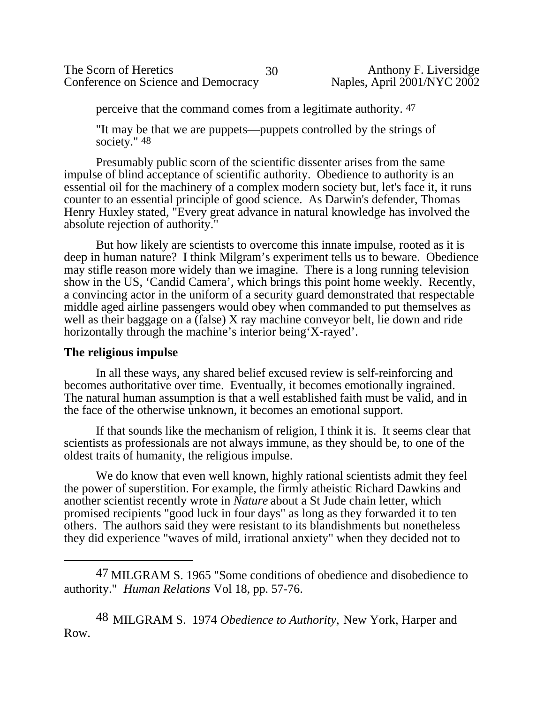perceive that the command comes from a legitimate authority. 47

"It may be that we are puppets—puppets controlled by the strings of society." 48

Presumably public scorn of the scientific dissenter arises from the same impulse of blind acceptance of scientific authority. Obedience to authority is an essential oil for the machinery of a complex modern society but, let's face it, it runs counter to an essential principle of good science. As Darwin's defender, Thomas Henry Huxley stated, "Every great advance in natural knowledge has involved the absolute rejection of authority."

But how likely are scientists to overcome this innate impulse, rooted as it is deep in human nature? I think Milgram's experiment tells us to beware. Obedience may stifle reason more widely than we imagine. There is a long running television show in the US, 'Candid Camera', which brings this point home weekly. Recently, a convincing actor in the uniform of a security guard demonstrated that respectable middle aged airline passengers would obey when commanded to put themselves as well as their baggage on a (false) X ray machine conveyor belt, lie down and ride horizontally through the machine's interior being 'X-rayed'.

# **The religious impulse**

In all these ways, any shared belief excused review is self-reinforcing and becomes authoritative over time. Eventually, it becomes emotionally ingrained. The natural human assumption is that a well established faith must be valid, and in the face of the otherwise unknown, it becomes an emotional support.

If that sounds like the mechanism of religion, I think it is. It seems clear that scientists as professionals are not always immune, as they should be, to one of the oldest traits of humanity, the religious impulse.

We do know that even well known, highly rational scientists admit they feel the power of superstition. For example, the firmly atheistic Richard Dawkins and another scientist recently wrote in *Nature* about a St Jude chain letter, which promised recipients "good luck in four days" as long as they forwarded it to ten others. The authors said they were resistant to its blandishments but nonetheless they did experience "waves of mild, irrational anxiety" when they decided not to

47 MILGRAM S. 1965 "Some conditions of obedience and disobedience to authority." *Human Relations* Vol 18, pp. 57-76.

48 MILGRAM S. 1974 *Obedience to Authority,* New York, Harper and Row.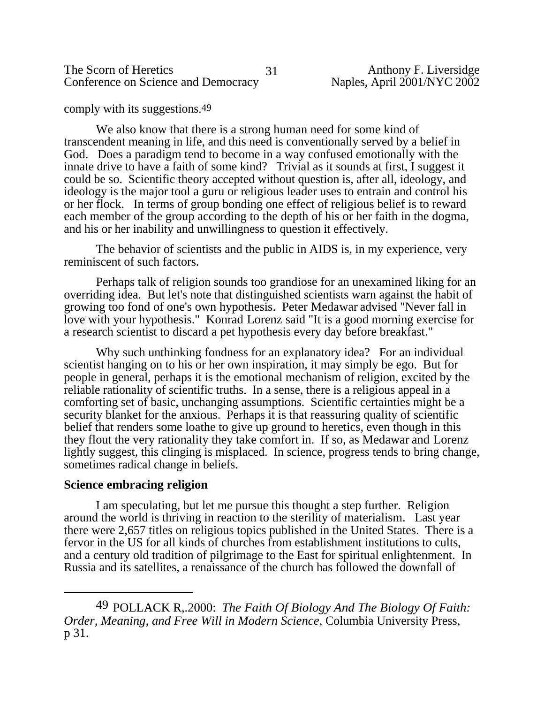The Scorn of Heretics 31 Anthony F. Liversidge<br>Conference on Science and Democracy Naples, April 2001/NYC 2002 Conference on Science and Democracy

comply with its suggestions.49

We also know that there is a strong human need for some kind of transcendent meaning in life, and this need is conventionally served by a belief in God. Does a paradigm tend to become in a way confused emotionally with the innate drive to have a faith of some kind? Trivial as it sounds at first, I suggest it could be so. Scientific theory accepted without question is, after all, ideology, and ideology is the major tool a guru or religious leader uses to entrain and control his or her flock. In terms of group bonding one effect of religious belief is to reward each member of the group according to the depth of his or her faith in the dogma, and his or her inability and unwillingness to question it effectively.

The behavior of scientists and the public in AIDS is, in my experience, very reminiscent of such factors.

Perhaps talk of religion sounds too grandiose for an unexamined liking for an overriding idea. But let's note that distinguished scientists warn against the habit of growing too fond of one's own hypothesis. Peter Medawar advised "Never fall in love with your hypothesis." Konrad Lorenz said "It is a good morning exercise for a research scientist to discard a pet hypothesis every day before breakfast."

Why such unthinking fondness for an explanatory idea? For an individual scientist hanging on to his or her own inspiration, it may simply be ego. But for people in general, perhaps it is the emotional mechanism of religion, excited by the reliable rationality of scientific truths. In a sense, there is a religious appeal in a comforting set of basic, unchanging assumptions. Scientific certainties might be a security blanket for the anxious. Perhaps it is that reassuring quality of scientific belief that renders some loathe to give up ground to heretics, even though in this they flout the very rationality they take comfort in. If so, as Medawar and Lorenz lightly suggest, this clinging is misplaced. In science, progress tends to bring change, sometimes radical change in beliefs.

### **Science embracing religion**

I am speculating, but let me pursue this thought a step further. Religion around the world is thriving in reaction to the sterility of materialism. Last year there were 2,657 titles on religious topics published in the United States. There is a fervor in the US for all kinds of churches from establishment institutions to cults, and a century old tradition of pilgrimage to the East for spiritual enlightenment. In Russia and its satellites, a renaissance of the church has followed the downfall of

<sup>49</sup> POLLACK R,.2000: *The Faith Of Biology And The Biology Of Faith: Order, Meaning, and Free Will in Modern Science,* Columbia University Press, p 31.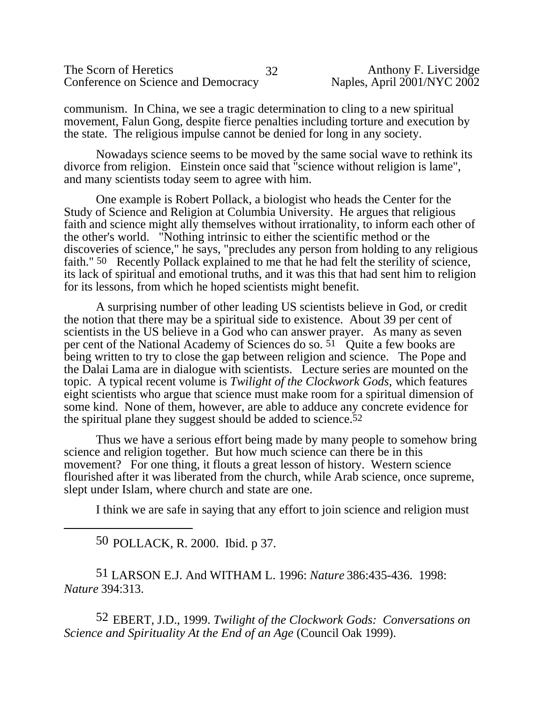| The Scorn of Heretics               | Anthony F. Liversidge       |
|-------------------------------------|-----------------------------|
| Conference on Science and Democracy | Naples, April 2001/NYC 2002 |

communism. In China, we see a tragic determination to cling to a new spiritual movement, Falun Gong, despite fierce penalties including torture and execution by the state. The religious impulse cannot be denied for long in any society.

Nowadays science seems to be moved by the same social wave to rethink its divorce from religion. Einstein once said that "science without religion is lame", and many scientists today seem to agree with him.

One example is Robert Pollack, a biologist who heads the Center for the Study of Science and Religion at Columbia University. He argues that religious faith and science might ally themselves without irrationality, to inform each other of the other's world. "Nothing intrinsic to either the scientific method or the discoveries of science," he says, "precludes any person from holding to any religious faith." 50 Recently Pollack explained to me that he had felt the sterility of science, its lack of spiritual and emotional truths, and it was this that had sent him to religion for its lessons, from which he hoped scientists might benefit.

A surprising number of other leading US scientists believe in God, or credit the notion that there may be a spiritual side to existence. About 39 per cent of scientists in the US believe in a God who can answer prayer. As many as seven per cent of the National Academy of Sciences do so. 51 Quite a few books are being written to try to close the gap between religion and science. The Pope and the Dalai Lama are in dialogue with scientists. Lecture series are mounted on the topic. A typical recent volume is *Twilight of the Clockwork Gods,* which features eight scientists who argue that science must make room for a spiritual dimension of some kind. None of them, however, are able to adduce any concrete evidence for the spiritual plane they suggest should be added to science.52

Thus we have a serious effort being made by many people to somehow bring science and religion together. But how much science can there be in this movement? For one thing, it flouts a great lesson of history. Western science flourished after it was liberated from the church, while Arab science, once supreme, slept under Islam, where church and state are one.

I think we are safe in saying that any effort to join science and religion must

50 POLLACK, R. 2000. Ibid. p 37.

51 LARSON E.J. And WITHAM L. 1996: *Nature* 386:435-436. 1998: *Nature* 394:313.

52 EBERT, J.D., 1999. *Twilight of the Clockwork Gods: Conversations on Science and Spirituality At the End of an Age* (Council Oak 1999).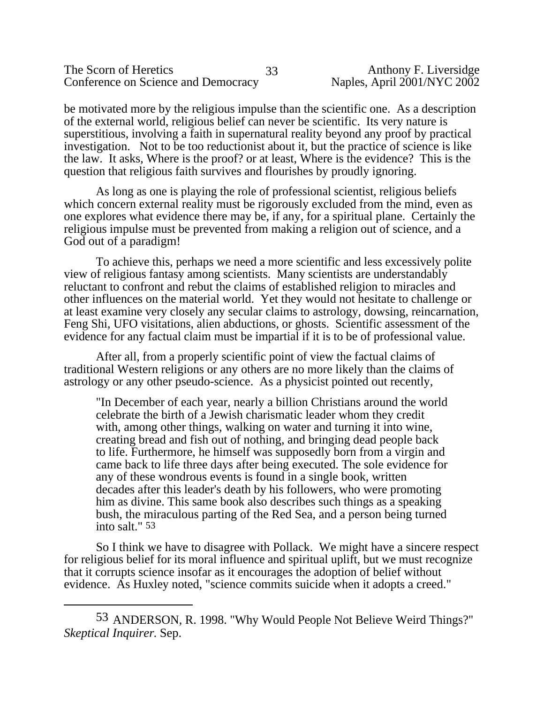be motivated more by the religious impulse than the scientific one. As a description of the external world, religious belief can never be scientific. Its very nature is superstitious, involving a faith in supernatural reality beyond any proof by practical investigation. Not to be too reductionist about it, but the practice of science is like the law. It asks, Where is the proof? or at least, Where is the evidence? This is the question that religious faith survives and flourishes by proudly ignoring.

As long as one is playing the role of professional scientist, religious beliefs which concern external reality must be rigorously excluded from the mind, even as one explores what evidence there may be, if any, for a spiritual plane. Certainly the religious impulse must be prevented from making a religion out of science, and a God out of a paradigm!

To achieve this, perhaps we need a more scientific and less excessively polite view of religious fantasy among scientists. Many scientists are understandably reluctant to confront and rebut the claims of established religion to miracles and other influences on the material world. Yet they would not hesitate to challenge or at least examine very closely any secular claims to astrology, dowsing, reincarnation, Feng Shi, UFO visitations, alien abductions, or ghosts. Scientific assessment of the evidence for any factual claim must be impartial if it is to be of professional value.

After all, from a properly scientific point of view the factual claims of traditional Western religions or any others are no more likely than the claims of astrology or any other pseudo-science. As a physicist pointed out recently,

"In December of each year, nearly a billion Christians around the world celebrate the birth of a Jewish charismatic leader whom they credit with, among other things, walking on water and turning it into wine, creating bread and fish out of nothing, and bringing dead people back to life. Furthermore, he himself was supposedly born from a virgin and came back to life three days after being executed. The sole evidence for any of these wondrous events is found in a single book, written decades after this leader's death by his followers, who were promoting him as divine. This same book also describes such things as a speaking bush, the miraculous parting of the Red Sea, and a person being turned into salt." 53

So I think we have to disagree with Pollack. We might have a sincere respect for religious belief for its moral influence and spiritual uplift, but we must recognize that it corrupts science insofar as it encourages the adoption of belief without evidence. As Huxley noted, "science commits suicide when it adopts a creed."

<sup>53</sup> ANDERSON, R. 1998. "Why Would People Not Believe Weird Things?" *Skeptical Inquirer*. Sep.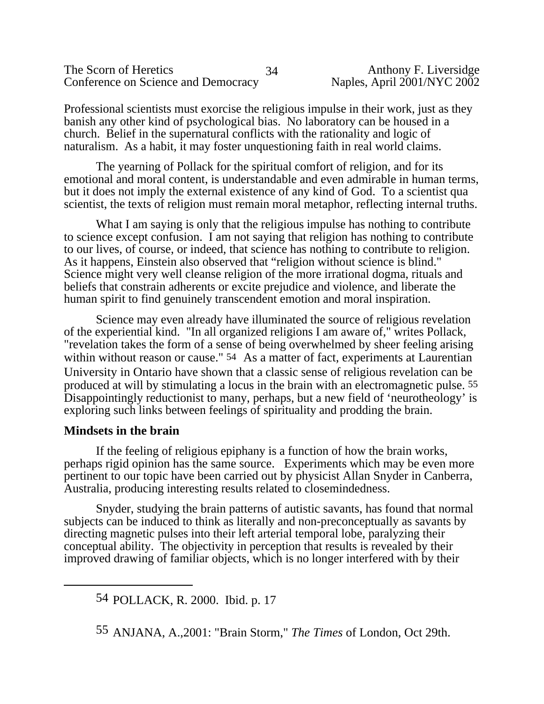| The Scorn of Heretics               | 34 |
|-------------------------------------|----|
| Conference on Science and Democracy |    |

Professional scientists must exorcise the religious impulse in their work, just as they banish any other kind of psychological bias. No laboratory can be housed in a church. Belief in the supernatural conflicts with the rationality and logic of naturalism. As a habit, it may foster unquestioning faith in real world claims.

The yearning of Pollack for the spiritual comfort of religion, and for its emotional and moral content, is understandable and even admirable in human terms, but it does not imply the external existence of any kind of God. To a scientist qua scientist, the texts of religion must remain moral metaphor, reflecting internal truths.

What I am saying is only that the religious impulse has nothing to contribute to science except confusion. I am not saying that religion has nothing to contribute to our lives, of course, or indeed, that science has nothing to contribute to religion. As it happens, Einstein also observed that "religion without science is blind." Science might very well cleanse religion of the more irrational dogma, rituals and beliefs that constrain adherents or excite prejudice and violence, and liberate the human spirit to find genuinely transcendent emotion and moral inspiration.

Science may even already have illuminated the source of religious revelation of the experiential kind. "In all organized religions I am aware of," writes Pollack, "revelation takes the form of a sense of being overwhelmed by sheer feeling arising within without reason or cause." <sup>54</sup> As a matter of fact, experiments at Laurentian University in Ontario have shown that a classic sense of religious revelation can be produced at will by stimulating a locus in the brain with an electromagnetic pulse. 55 Disappointingly reductionist to many, perhaps, but a new field of 'neurotheology' is exploring such links between feelings of spirituality and prodding the brain.

# **Mindsets in the brain**

If the feeling of religious epiphany is a function of how the brain works, perhaps rigid opinion has the same source. Experiments which may be even more pertinent to our topic have been carried out by physicist Allan Snyder in Canberra, Australia, producing interesting results related to closemindedness.

Snyder, studying the brain patterns of autistic savants, has found that normal subjects can be induced to think as literally and non-preconceptually as savants by directing magnetic pulses into their left arterial temporal lobe, paralyzing their conceptual ability. The objectivity in perception that results is revealed by their improved drawing of familiar objects, which is no longer interfered with by their

<sup>54</sup> POLLACK, R. 2000. Ibid. p. 17

<sup>55</sup> ANJANA, A.,2001: "Brain Storm," *The Times* of London, Oct 29th.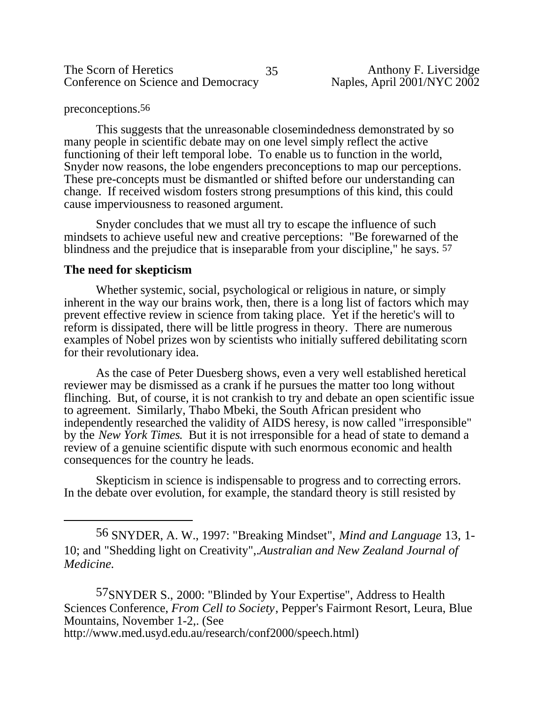The Scorn of Heretics 35 Anthony F. Liversidge<br>Conference on Science and Democracy Naples, April 2001/NYC 2002 Conference on Science and Democracy

#### preconceptions.56

This suggests that the unreasonable closemindedness demonstrated by so many people in scientific debate may on one level simply reflect the active functioning of their left temporal lobe. To enable us to function in the world, Snyder now reasons, the lobe engenders preconceptions to map our perceptions. These pre-concepts must be dismantled or shifted before our understanding can change. If received wisdom fosters strong presumptions of this kind, this could cause imperviousness to reasoned argument.

Snyder concludes that we must all try to escape the influence of such mindsets to achieve useful new and creative perceptions: "Be forewarned of the blindness and the prejudice that is inseparable from your discipline," he says. 57

#### **The need for skepticism**

Whether systemic, social, psychological or religious in nature, or simply inherent in the way our brains work, then, there is a long list of factors which may prevent effective review in science from taking place. Yet if the heretic's will to reform is dissipated, there will be little progress in theory. There are numerous examples of Nobel prizes won by scientists who initially suffered debilitating scorn for their revolutionary idea.

As the case of Peter Duesberg shows, even a very well established heretical reviewer may be dismissed as a crank if he pursues the matter too long without flinching. But, of course, it is not crankish to try and debate an open scientific issue to agreement. Similarly, Thabo Mbeki, the South African president who independently researched the validity of AIDS heresy, is now called "irresponsible" by the *New York Times*. But it is not irresponsible for a head of state to demand a review of a genuine scientific dispute with such enormous economic and health consequences for the country he leads.

Skepticism in science is indispensable to progress and to correcting errors. In the debate over evolution, for example, the standard theory is still resisted by

57SNYDER S., 2000: "Blinded by Your Expertise", Address to Health Sciences Conference, *From Cell to Society*, Pepper's Fairmont Resort, Leura, Blue Mountains, November 1-2,. (See http://www.med.usyd.edu.au/research/conf2000/speech.html)

<sup>56</sup> SNYDER, A. W., 1997: "Breaking Mindset", *Mind and Language* 13, 1- 10; and "Shedding light on Creativity",.*Australian and New Zealand Journal of Medicine.*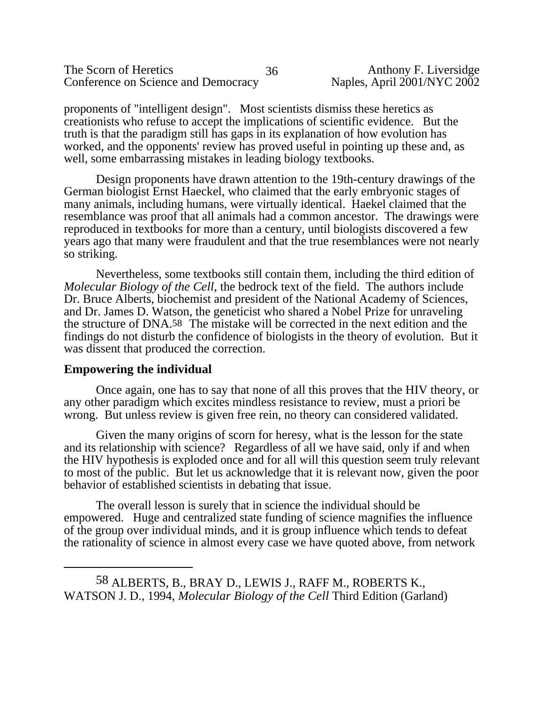| The Scorn of Heretics               | 36 |
|-------------------------------------|----|
| Conference on Science and Democracy |    |

proponents of "intelligent design". Most scientists dismiss these heretics as creationists who refuse to accept the implications of scientific evidence. But the truth is that the paradigm still has gaps in its explanation of how evolution has worked, and the opponents' review has proved useful in pointing up these and, as well, some embarrassing mistakes in leading biology textbooks.

Design proponents have drawn attention to the 19th-century drawings of the German biologist Ernst Haeckel, who claimed that the early embryonic stages of many animals, including humans, were virtually identical. Haekel claimed that the resemblance was proof that all animals had a common ancestor. The drawings were reproduced in textbooks for more than a century, until biologists discovered a few years ago that many were fraudulent and that the true resemblances were not nearly so striking.

Nevertheless, some textbooks still contain them, including the third edition of *Molecular Biology of the Cell*, the bedrock text of the field. The authors include Dr. Bruce Alberts, biochemist and president of the National Academy of Sciences, and Dr. James D. Watson, the geneticist who shared a Nobel Prize for unraveling the structure of DNA.58 The mistake will be corrected in the next edition and the findings do not disturb the confidence of biologists in the theory of evolution. But it was dissent that produced the correction.

# **Empowering the individual**

Once again, one has to say that none of all this proves that the HIV theory, or any other paradigm which excites mindless resistance to review, must a priori be wrong. But unless review is given free rein, no theory can considered validated.

Given the many origins of scorn for heresy, what is the lesson for the state and its relationship with science? Regardless of all we have said, only if and when the HIV hypothesis is exploded once and for all will this question seem truly relevant to most of the public. But let us acknowledge that it is relevant now, given the poor behavior of established scientists in debating that issue.

The overall lesson is surely that in science the individual should be empowered. Huge and centralized state funding of science magnifies the influence of the group over individual minds, and it is group influence which tends to defeat the rationality of science in almost every case we have quoted above, from network

<sup>58</sup> ALBERTS, B., BRAY D., LEWIS J., RAFF M., ROBERTS K., WATSON J. D., 1994, *Molecular Biology of the Cell* Third Edition (Garland)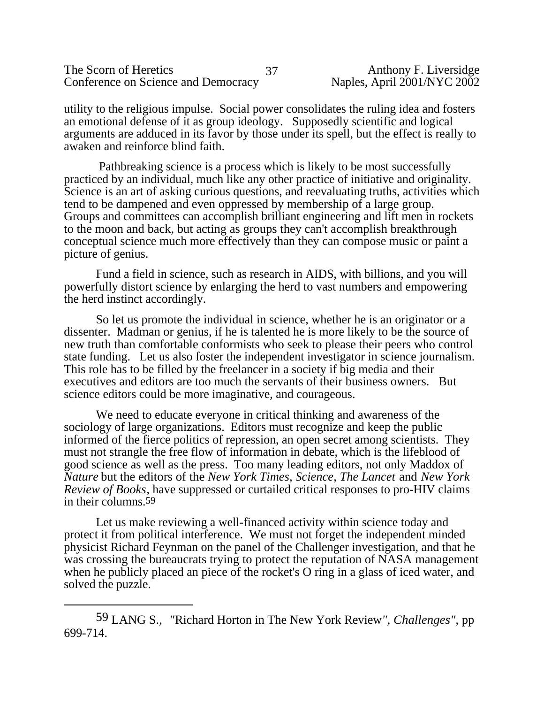| The Scorn of Heretics               |  |
|-------------------------------------|--|
| Conference on Science and Democracy |  |

utility to the religious impulse. Social power consolidates the ruling idea and fosters an emotional defense of it as group ideology. Supposedly scientific and logical arguments are adduced in its favor by those under its spell, but the effect is really to awaken and reinforce blind faith.

 Pathbreaking science is a process which is likely to be most successfully practiced by an individual, much like any other practice of initiative and originality. Science is an art of asking curious questions, and reevaluating truths, activities which tend to be dampened and even oppressed by membership of a large group. Groups and committees can accomplish brilliant engineering and lift men in rockets to the moon and back, but acting as groups they can't accomplish breakthrough conceptual science much more effectively than they can compose music or paint a picture of genius.

Fund a field in science, such as research in AIDS, with billions, and you will powerfully distort science by enlarging the herd to vast numbers and empowering the herd instinct accordingly.

So let us promote the individual in science, whether he is an originator or a dissenter. Madman or genius, if he is talented he is more likely to be the source of new truth than comfortable conformists who seek to please their peers who control state funding. Let us also foster the independent investigator in science journalism. This role has to be filled by the freelancer in a society if big media and their executives and editors are too much the servants of their business owners. But science editors could be more imaginative, and courageous.

We need to educate everyone in critical thinking and awareness of the sociology of large organizations. Editors must recognize and keep the public informed of the fierce politics of repression, an open secret among scientists. They must not strangle the free flow of information in debate, which is the lifeblood of good science as well as the press. Too many leading editors, not only Maddox of *Nature* but the editors of the *New York Times, Science, The Lancet* and *New York Review of Books*, have suppressed or curtailed critical responses to pro-HIV claims in their columns.59

Let us make reviewing a well-financed activity within science today and protect it from political interference. We must not forget the independent minded physicist Richard Feynman on the panel of the Challenger investigation, and that he was crossing the bureaucrats trying to protect the reputation of NASA management when he publicly placed an piece of the rocket's O ring in a glass of iced water, and solved the puzzle.

<sup>59</sup> LANG S., *"*Richard Horton in The New York Review*", Challenges",* pp 699-714.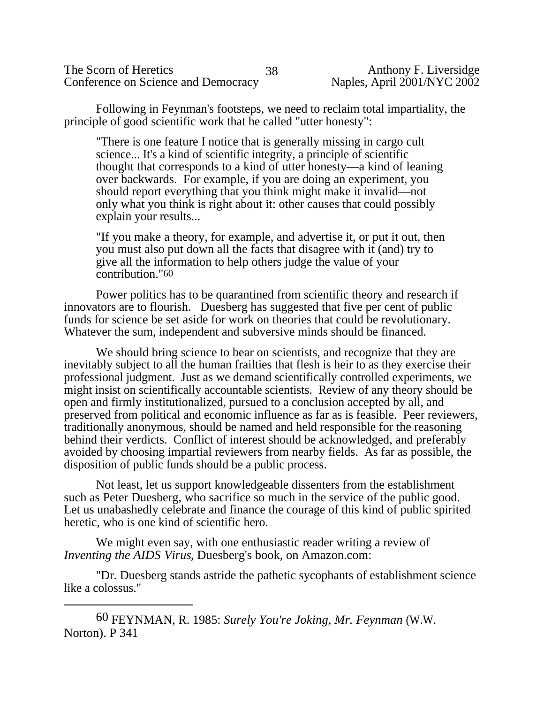The Scorn of Heretics 38 Anthony F. Liversidge<br>Conference on Science and Democracy Naples, April 2001/NYC 2002 Conference on Science and Democracy

Following in Feynman's footsteps, we need to reclaim total impartiality, the principle of good scientific work that he called "utter honesty":

"There is one feature I notice that is generally missing in cargo cult science... It's a kind of scientific integrity, a principle of scientific thought that corresponds to a kind of utter honesty—a kind of leaning over backwards. For example, if you are doing an experiment, you should report everything that you think might make it invalid—not only what you think is right about it: other causes that could possibly explain your results...

"If you make a theory, for example, and advertise it, or put it out, then you must also put down all the facts that disagree with it (and) try to give all the information to help others judge the value of your contribution."60

Power politics has to be quarantined from scientific theory and research if innovators are to flourish. Duesberg has suggested that five per cent of public funds for science be set aside for work on theories that could be revolutionary. Whatever the sum, independent and subversive minds should be financed.

We should bring science to bear on scientists, and recognize that they are inevitably subject to all the human frailties that flesh is heir to as they exercise their professional judgment. Just as we demand scientifically controlled experiments, we might insist on scientifically accountable scientists. Review of any theory should be open and firmly institutionalized, pursued to a conclusion accepted by all, and preserved from political and economic influence as far as is feasible. Peer reviewers, traditionally anonymous, should be named and held responsible for the reasoning behind their verdicts. Conflict of interest should be acknowledged, and preferably avoided by choosing impartial reviewers from nearby fields. As far as possible, the disposition of public funds should be a public process.

Not least, let us support knowledgeable dissenters from the establishment such as Peter Duesberg, who sacrifice so much in the service of the public good. Let us unabashedly celebrate and finance the courage of this kind of public spirited heretic, who is one kind of scientific hero.

 We might even say, with one enthusiastic reader writing a review of *Inventing the AIDS Virus*, Duesberg's book, on Amazon.com:

"Dr. Duesberg stands astride the pathetic sycophants of establishment science like a colossus."

<sup>60</sup> FEYNMAN, R. 1985: *Surely You're Joking, Mr. Feynman* (W.W. Norton). P 341